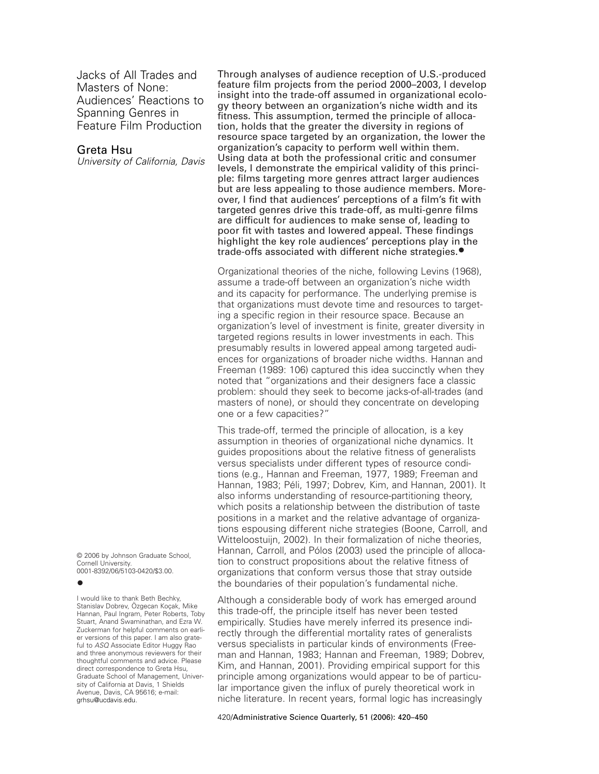Jacks of All Trades and Masters of None: Audiences' Reactions to Spanning Genres in Feature Film Production

# Greta Hsu

*University of California, Davis*

© 2006 by Johnson Graduate School, Cornell University. 0001-8392/06/5103-0420/\$3.00.

# **•**

I would like to thank Beth Bechky, Stanislav Dobrev, Özgecan Koçak, Mike Hannan, Paul Ingram, Peter Roberts, Toby Stuart, Anand Swaminathan, and Ezra W. Zuckerman for helpful comments on earlier versions of this paper. I am also grateful to *ASQ* Associate Editor Huggy Rao and three anonymous reviewers for their thoughtful comments and advice. Please direct correspondence to Greta Hsu, Graduate School of Management, University of California at Davis, 1 Shields Avenue, Davis, CA 95616; e-mail: grhsu@ucdavis.edu.

Through analyses of audience reception of U.S.-produced feature film projects from the period 2000–2003, I develop insight into the trade-off assumed in organizational ecology theory between an organization's niche width and its fitness. This assumption, termed the principle of allocation, holds that the greater the diversity in regions of resource space targeted by an organization, the lower the organization's capacity to perform well within them. Using data at both the professional critic and consumer levels, I demonstrate the empirical validity of this principle: films targeting more genres attract larger audiences but are less appealing to those audience members. Moreover, I find that audiences' perceptions of a film's fit with targeted genres drive this trade-off, as multi-genre films are difficult for audiences to make sense of, leading to poor fit with tastes and lowered appeal. These findings highlight the key role audiences' perceptions play in the trade-offs associated with different niche strategies.**•**

Organizational theories of the niche, following Levins (1968), assume a trade-off between an organization's niche width and its capacity for performance. The underlying premise is that organizations must devote time and resources to targeting a specific region in their resource space. Because an organization's level of investment is finite, greater diversity in targeted regions results in lower investments in each. This presumably results in lowered appeal among targeted audiences for organizations of broader niche widths. Hannan and Freeman (1989: 106) captured this idea succinctly when they noted that "organizations and their designers face a classic problem: should they seek to become jacks-of-all-trades (and masters of none), or should they concentrate on developing one or a few capacities?"

This trade-off, termed the principle of allocation, is a key assumption in theories of organizational niche dynamics. It guides propositions about the relative fitness of generalists versus specialists under different types of resource conditions (e.g., Hannan and Freeman, 1977, 1989; Freeman and Hannan, 1983; Péli, 1997; Dobrev, Kim, and Hannan, 2001). It also informs understanding of resource-partitioning theory, which posits a relationship between the distribution of taste positions in a market and the relative advantage of organizations espousing different niche strategies (Boone, Carroll, and Witteloostuijn, 2002). In their formalization of niche theories, Hannan, Carroll, and Pólos (2003) used the principle of allocation to construct propositions about the relative fitness of organizations that conform versus those that stray outside the boundaries of their population's fundamental niche.

Although a considerable body of work has emerged around this trade-off, the principle itself has never been tested empirically. Studies have merely inferred its presence indirectly through the differential mortality rates of generalists versus specialists in particular kinds of environments (Freeman and Hannan, 1983; Hannan and Freeman, 1989; Dobrev, Kim, and Hannan, 2001). Providing empirical support for this principle among organizations would appear to be of particular importance given the influx of purely theoretical work in niche literature. In recent years, formal logic has increasingly

420/Administrative Science Quarterly, 51 (2006): 420–450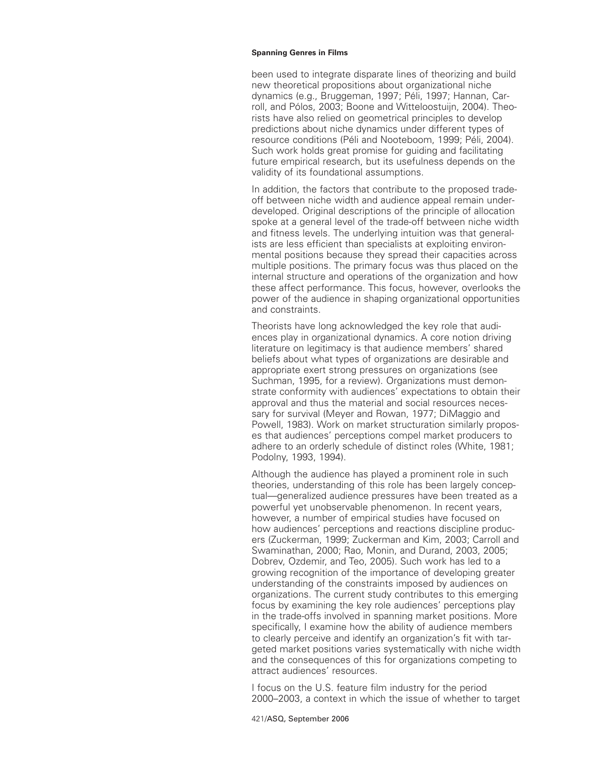been used to integrate disparate lines of theorizing and build new theoretical propositions about organizational niche dynamics (e.g., Bruggeman, 1997; Péli, 1997; Hannan, Carroll, and Pólos, 2003; Boone and Witteloostuijn, 2004). Theorists have also relied on geometrical principles to develop predictions about niche dynamics under different types of resource conditions (Péli and Nooteboom, 1999; Péli, 2004). Such work holds great promise for guiding and facilitating future empirical research, but its usefulness depends on the validity of its foundational assumptions.

In addition, the factors that contribute to the proposed tradeoff between niche width and audience appeal remain underdeveloped. Original descriptions of the principle of allocation spoke at a general level of the trade-off between niche width and fitness levels. The underlying intuition was that generalists are less efficient than specialists at exploiting environmental positions because they spread their capacities across multiple positions. The primary focus was thus placed on the internal structure and operations of the organization and how these affect performance. This focus, however, overlooks the power of the audience in shaping organizational opportunities and constraints.

Theorists have long acknowledged the key role that audiences play in organizational dynamics. A core notion driving literature on legitimacy is that audience members' shared beliefs about what types of organizations are desirable and appropriate exert strong pressures on organizations (see Suchman, 1995, for a review). Organizations must demonstrate conformity with audiences' expectations to obtain their approval and thus the material and social resources necessary for survival (Meyer and Rowan, 1977; DiMaggio and Powell, 1983). Work on market structuration similarly proposes that audiences' perceptions compel market producers to adhere to an orderly schedule of distinct roles (White, 1981; Podolny, 1993, 1994).

Although the audience has played a prominent role in such theories, understanding of this role has been largely conceptual—generalized audience pressures have been treated as a powerful yet unobservable phenomenon. In recent years, however, a number of empirical studies have focused on how audiences' perceptions and reactions discipline producers (Zuckerman, 1999; Zuckerman and Kim, 2003; Carroll and Swaminathan, 2000; Rao, Monin, and Durand, 2003, 2005; Dobrev, Ozdemir, and Teo, 2005). Such work has led to a growing recognition of the importance of developing greater understanding of the constraints imposed by audiences on organizations. The current study contributes to this emerging focus by examining the key role audiences' perceptions play in the trade-offs involved in spanning market positions. More specifically, I examine how the ability of audience members to clearly perceive and identify an organization's fit with targeted market positions varies systematically with niche width and the consequences of this for organizations competing to attract audiences' resources.

I focus on the U.S. feature film industry for the period 2000–2003, a context in which the issue of whether to target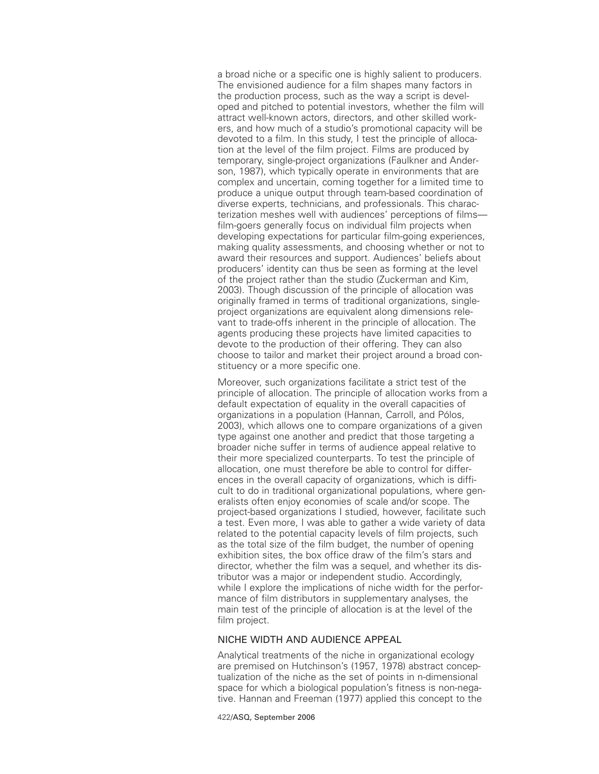a broad niche or a specific one is highly salient to producers. The envisioned audience for a film shapes many factors in the production process, such as the way a script is developed and pitched to potential investors, whether the film will attract well-known actors, directors, and other skilled workers, and how much of a studio's promotional capacity will be devoted to a film. In this study, I test the principle of allocation at the level of the film project. Films are produced by temporary, single-project organizations (Faulkner and Anderson, 1987), which typically operate in environments that are complex and uncertain, coming together for a limited time to produce a unique output through team-based coordination of diverse experts, technicians, and professionals. This characterization meshes well with audiences' perceptions of films film-goers generally focus on individual film projects when developing expectations for particular film-going experiences, making quality assessments, and choosing whether or not to award their resources and support. Audiences' beliefs about producers' identity can thus be seen as forming at the level of the project rather than the studio (Zuckerman and Kim, 2003). Though discussion of the principle of allocation was originally framed in terms of traditional organizations, singleproject organizations are equivalent along dimensions relevant to trade-offs inherent in the principle of allocation. The agents producing these projects have limited capacities to devote to the production of their offering. They can also choose to tailor and market their project around a broad constituency or a more specific one.

Moreover, such organizations facilitate a strict test of the principle of allocation. The principle of allocation works from a default expectation of equality in the overall capacities of organizations in a population (Hannan, Carroll, and Pólos, 2003), which allows one to compare organizations of a given type against one another and predict that those targeting a broader niche suffer in terms of audience appeal relative to their more specialized counterparts. To test the principle of allocation, one must therefore be able to control for differences in the overall capacity of organizations, which is difficult to do in traditional organizational populations, where generalists often enjoy economies of scale and/or scope. The project-based organizations I studied, however, facilitate such a test. Even more, I was able to gather a wide variety of data related to the potential capacity levels of film projects, such as the total size of the film budget, the number of opening exhibition sites, the box office draw of the film's stars and director, whether the film was a sequel, and whether its distributor was a major or independent studio. Accordingly, while I explore the implications of niche width for the performance of film distributors in supplementary analyses, the main test of the principle of allocation is at the level of the film project.

# NICHE WIDTH AND AUDIENCE APPEAL

Analytical treatments of the niche in organizational ecology are premised on Hutchinson's (1957, 1978) abstract conceptualization of the niche as the set of points in n-dimensional space for which a biological population's fitness is non-negative. Hannan and Freeman (1977) applied this concept to the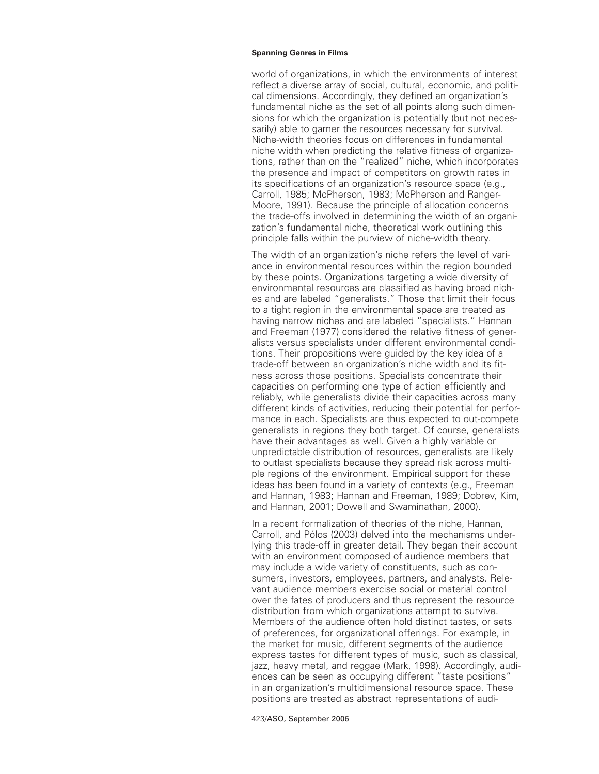world of organizations, in which the environments of interest reflect a diverse array of social, cultural, economic, and political dimensions. Accordingly, they defined an organization's fundamental niche as the set of all points along such dimensions for which the organization is potentially (but not necessarily) able to garner the resources necessary for survival. Niche-width theories focus on differences in fundamental niche width when predicting the relative fitness of organizations, rather than on the "realized" niche, which incorporates the presence and impact of competitors on growth rates in its specifications of an organization's resource space (e.g., Carroll, 1985; McPherson, 1983; McPherson and Ranger-Moore, 1991). Because the principle of allocation concerns the trade-offs involved in determining the width of an organization's fundamental niche, theoretical work outlining this principle falls within the purview of niche-width theory.

The width of an organization's niche refers the level of variance in environmental resources within the region bounded by these points. Organizations targeting a wide diversity of environmental resources are classified as having broad niches and are labeled "generalists." Those that limit their focus to a tight region in the environmental space are treated as having narrow niches and are labeled "specialists." Hannan and Freeman (1977) considered the relative fitness of generalists versus specialists under different environmental conditions. Their propositions were guided by the key idea of a trade-off between an organization's niche width and its fitness across those positions. Specialists concentrate their capacities on performing one type of action efficiently and reliably, while generalists divide their capacities across many different kinds of activities, reducing their potential for performance in each. Specialists are thus expected to out-compete generalists in regions they both target. Of course, generalists have their advantages as well. Given a highly variable or unpredictable distribution of resources, generalists are likely to outlast specialists because they spread risk across multiple regions of the environment. Empirical support for these ideas has been found in a variety of contexts (e.g., Freeman and Hannan, 1983; Hannan and Freeman, 1989; Dobrev, Kim, and Hannan, 2001; Dowell and Swaminathan, 2000).

In a recent formalization of theories of the niche, Hannan, Carroll, and Pólos (2003) delved into the mechanisms underlying this trade-off in greater detail. They began their account with an environment composed of audience members that may include a wide variety of constituents, such as consumers, investors, employees, partners, and analysts. Relevant audience members exercise social or material control over the fates of producers and thus represent the resource distribution from which organizations attempt to survive. Members of the audience often hold distinct tastes, or sets of preferences, for organizational offerings. For example, in the market for music, different segments of the audience express tastes for different types of music, such as classical, jazz, heavy metal, and reggae (Mark, 1998). Accordingly, audiences can be seen as occupying different "taste positions" in an organization's multidimensional resource space. These positions are treated as abstract representations of audi-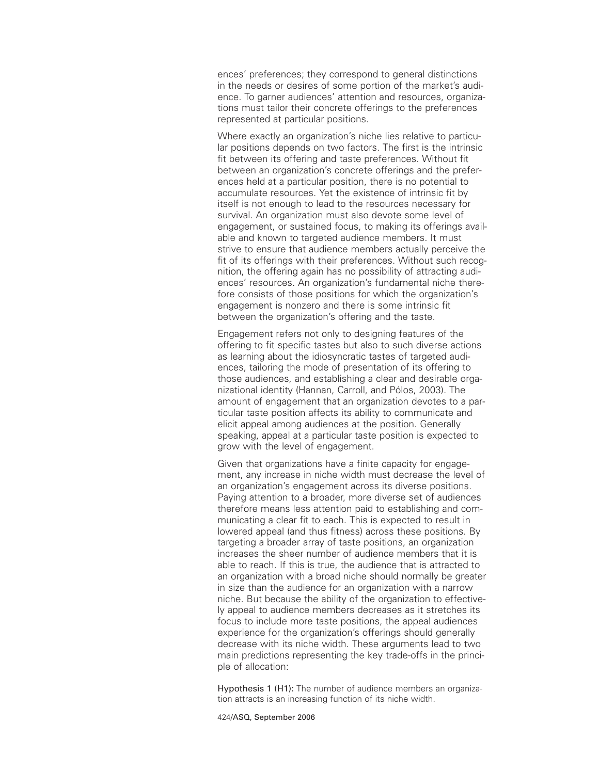ences' preferences; they correspond to general distinctions in the needs or desires of some portion of the market's audience. To garner audiences' attention and resources, organizations must tailor their concrete offerings to the preferences represented at particular positions.

Where exactly an organization's niche lies relative to particular positions depends on two factors. The first is the intrinsic fit between its offering and taste preferences. Without fit between an organization's concrete offerings and the preferences held at a particular position, there is no potential to accumulate resources. Yet the existence of intrinsic fit by itself is not enough to lead to the resources necessary for survival. An organization must also devote some level of engagement, or sustained focus, to making its offerings available and known to targeted audience members. It must strive to ensure that audience members actually perceive the fit of its offerings with their preferences. Without such recognition, the offering again has no possibility of attracting audiences' resources. An organization's fundamental niche therefore consists of those positions for which the organization's engagement is nonzero and there is some intrinsic fit between the organization's offering and the taste.

Engagement refers not only to designing features of the offering to fit specific tastes but also to such diverse actions as learning about the idiosyncratic tastes of targeted audiences, tailoring the mode of presentation of its offering to those audiences, and establishing a clear and desirable organizational identity (Hannan, Carroll, and Pólos, 2003). The amount of engagement that an organization devotes to a particular taste position affects its ability to communicate and elicit appeal among audiences at the position. Generally speaking, appeal at a particular taste position is expected to grow with the level of engagement.

Given that organizations have a finite capacity for engagement, any increase in niche width must decrease the level of an organization's engagement across its diverse positions. Paying attention to a broader, more diverse set of audiences therefore means less attention paid to establishing and communicating a clear fit to each. This is expected to result in lowered appeal (and thus fitness) across these positions. By targeting a broader array of taste positions, an organization increases the sheer number of audience members that it is able to reach. If this is true, the audience that is attracted to an organization with a broad niche should normally be greater in size than the audience for an organization with a narrow niche. But because the ability of the organization to effectively appeal to audience members decreases as it stretches its focus to include more taste positions, the appeal audiences experience for the organization's offerings should generally decrease with its niche width. These arguments lead to two main predictions representing the key trade-offs in the principle of allocation:

Hypothesis 1 (H1): The number of audience members an organization attracts is an increasing function of its niche width.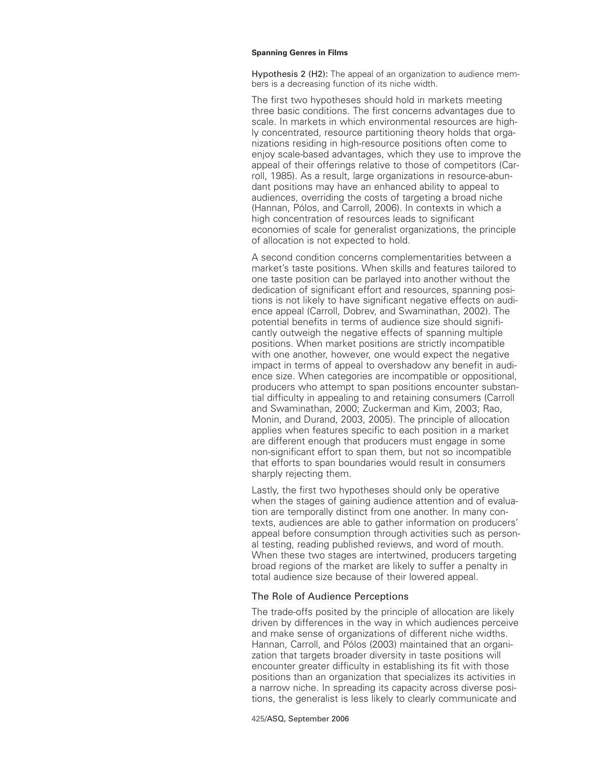Hypothesis 2 (H2): The appeal of an organization to audience members is a decreasing function of its niche width.

The first two hypotheses should hold in markets meeting three basic conditions. The first concerns advantages due to scale. In markets in which environmental resources are highly concentrated, resource partitioning theory holds that organizations residing in high-resource positions often come to enjoy scale-based advantages, which they use to improve the appeal of their offerings relative to those of competitors (Carroll, 1985). As a result, large organizations in resource-abundant positions may have an enhanced ability to appeal to audiences, overriding the costs of targeting a broad niche (Hannan, Pólos, and Carroll, 2006). In contexts in which a high concentration of resources leads to significant economies of scale for generalist organizations, the principle of allocation is not expected to hold.

A second condition concerns complementarities between a market's taste positions. When skills and features tailored to one taste position can be parlayed into another without the dedication of significant effort and resources, spanning positions is not likely to have significant negative effects on audience appeal (Carroll, Dobrev, and Swaminathan, 2002). The potential benefits in terms of audience size should significantly outweigh the negative effects of spanning multiple positions. When market positions are strictly incompatible with one another, however, one would expect the negative impact in terms of appeal to overshadow any benefit in audience size. When categories are incompatible or oppositional, producers who attempt to span positions encounter substantial difficulty in appealing to and retaining consumers (Carroll and Swaminathan, 2000; Zuckerman and Kim, 2003; Rao, Monin, and Durand, 2003, 2005). The principle of allocation applies when features specific to each position in a market are different enough that producers must engage in some non-significant effort to span them, but not so incompatible that efforts to span boundaries would result in consumers sharply rejecting them.

Lastly, the first two hypotheses should only be operative when the stages of gaining audience attention and of evaluation are temporally distinct from one another. In many contexts, audiences are able to gather information on producers' appeal before consumption through activities such as personal testing, reading published reviews, and word of mouth. When these two stages are intertwined, producers targeting broad regions of the market are likely to suffer a penalty in total audience size because of their lowered appeal.

# The Role of Audience Perceptions

The trade-offs posited by the principle of allocation are likely driven by differences in the way in which audiences perceive and make sense of organizations of different niche widths. Hannan, Carroll, and Pólos (2003) maintained that an organization that targets broader diversity in taste positions will encounter greater difficulty in establishing its fit with those positions than an organization that specializes its activities in a narrow niche. In spreading its capacity across diverse positions, the generalist is less likely to clearly communicate and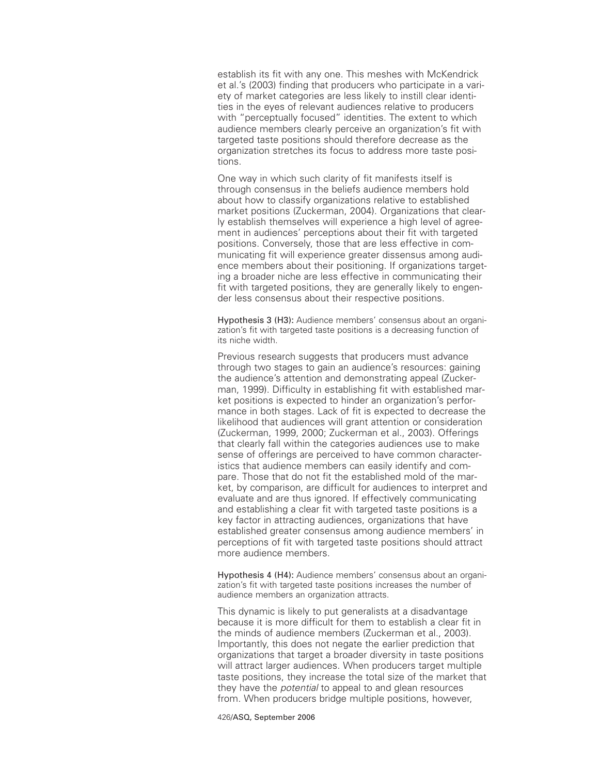establish its fit with any one. This meshes with McKendrick et al.'s (2003) finding that producers who participate in a variety of market categories are less likely to instill clear identities in the eyes of relevant audiences relative to producers with "perceptually focused" identities. The extent to which audience members clearly perceive an organization's fit with targeted taste positions should therefore decrease as the organization stretches its focus to address more taste positions.

One way in which such clarity of fit manifests itself is through consensus in the beliefs audience members hold about how to classify organizations relative to established market positions (Zuckerman, 2004). Organizations that clearly establish themselves will experience a high level of agreement in audiences' perceptions about their fit with targeted positions. Conversely, those that are less effective in communicating fit will experience greater dissensus among audience members about their positioning. If organizations targeting a broader niche are less effective in communicating their fit with targeted positions, they are generally likely to engender less consensus about their respective positions.

Hypothesis 3 (H3): Audience members' consensus about an organization's fit with targeted taste positions is a decreasing function of its niche width.

Previous research suggests that producers must advance through two stages to gain an audience's resources: gaining the audience's attention and demonstrating appeal (Zuckerman, 1999). Difficulty in establishing fit with established market positions is expected to hinder an organization's performance in both stages. Lack of fit is expected to decrease the likelihood that audiences will grant attention or consideration (Zuckerman, 1999, 2000; Zuckerman et al., 2003). Offerings that clearly fall within the categories audiences use to make sense of offerings are perceived to have common characteristics that audience members can easily identify and compare. Those that do not fit the established mold of the market, by comparison, are difficult for audiences to interpret and evaluate and are thus ignored. If effectively communicating and establishing a clear fit with targeted taste positions is a key factor in attracting audiences, organizations that have established greater consensus among audience members' in perceptions of fit with targeted taste positions should attract more audience members.

Hypothesis 4 (H4): Audience members' consensus about an organization's fit with targeted taste positions increases the number of audience members an organization attracts.

This dynamic is likely to put generalists at a disadvantage because it is more difficult for them to establish a clear fit in the minds of audience members (Zuckerman et al., 2003). Importantly, this does not negate the earlier prediction that organizations that target a broader diversity in taste positions will attract larger audiences. When producers target multiple taste positions, they increase the total size of the market that they have the *potential* to appeal to and glean resources from. When producers bridge multiple positions, however,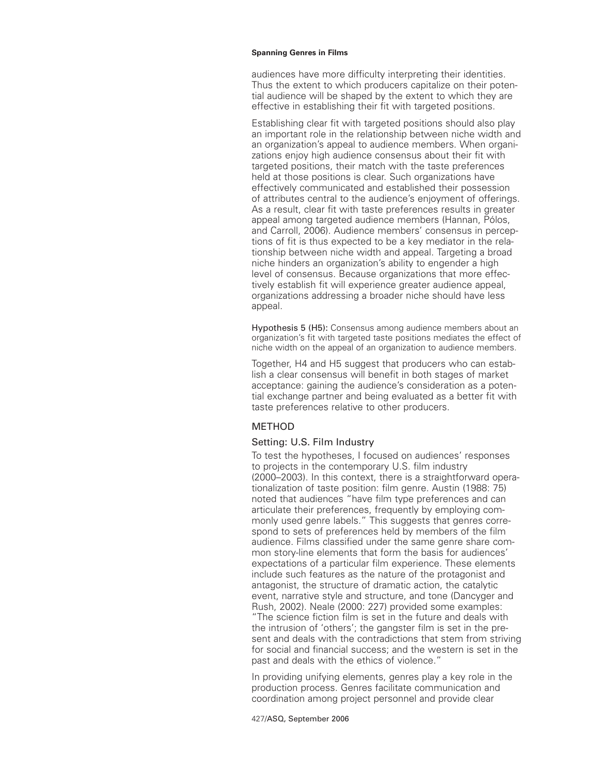audiences have more difficulty interpreting their identities. Thus the extent to which producers capitalize on their potential audience will be shaped by the extent to which they are effective in establishing their fit with targeted positions.

Establishing clear fit with targeted positions should also play an important role in the relationship between niche width and an organization's appeal to audience members. When organizations enjoy high audience consensus about their fit with targeted positions, their match with the taste preferences held at those positions is clear. Such organizations have effectively communicated and established their possession of attributes central to the audience's enjoyment of offerings. As a result, clear fit with taste preferences results in greater appeal among targeted audience members (Hannan, Pólos, and Carroll, 2006). Audience members' consensus in perceptions of fit is thus expected to be a key mediator in the relationship between niche width and appeal. Targeting a broad niche hinders an organization's ability to engender a high level of consensus. Because organizations that more effectively establish fit will experience greater audience appeal, organizations addressing a broader niche should have less appeal.

Hypothesis 5 (H5): Consensus among audience members about an organization's fit with targeted taste positions mediates the effect of niche width on the appeal of an organization to audience members.

Together, H4 and H5 suggest that producers who can establish a clear consensus will benefit in both stages of market acceptance: gaining the audience's consideration as a potential exchange partner and being evaluated as a better fit with taste preferences relative to other producers.

# METHOD

# Setting: U.S. Film Industry

To test the hypotheses, I focused on audiences' responses to projects in the contemporary U.S. film industry (2000–2003). In this context, there is a straightforward operationalization of taste position: film genre. Austin (1988: 75) noted that audiences "have film type preferences and can articulate their preferences, frequently by employing commonly used genre labels." This suggests that genres correspond to sets of preferences held by members of the film audience. Films classified under the same genre share common story-line elements that form the basis for audiences' expectations of a particular film experience. These elements include such features as the nature of the protagonist and antagonist, the structure of dramatic action, the catalytic event, narrative style and structure, and tone (Dancyger and Rush, 2002). Neale (2000: 227) provided some examples: "The science fiction film is set in the future and deals with the intrusion of 'others'; the gangster film is set in the present and deals with the contradictions that stem from striving for social and financial success; and the western is set in the past and deals with the ethics of violence."

In providing unifying elements, genres play a key role in the production process. Genres facilitate communication and coordination among project personnel and provide clear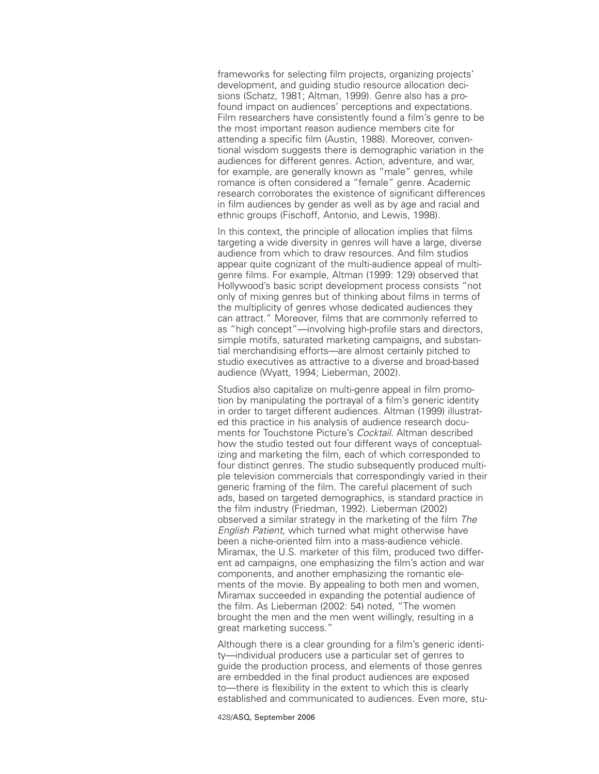frameworks for selecting film projects, organizing projects' development, and guiding studio resource allocation decisions (Schatz, 1981; Altman, 1999). Genre also has a profound impact on audiences' perceptions and expectations. Film researchers have consistently found a film's genre to be the most important reason audience members cite for attending a specific film (Austin, 1988). Moreover, conventional wisdom suggests there is demographic variation in the audiences for different genres. Action, adventure, and war, for example, are generally known as "male" genres, while romance is often considered a "female" genre. Academic research corroborates the existence of significant differences in film audiences by gender as well as by age and racial and ethnic groups (Fischoff, Antonio, and Lewis, 1998).

In this context, the principle of allocation implies that films targeting a wide diversity in genres will have a large, diverse audience from which to draw resources. And film studios appear quite cognizant of the multi-audience appeal of multigenre films. For example, Altman (1999: 129) observed that Hollywood's basic script development process consists "not only of mixing genres but of thinking about films in terms of the multiplicity of genres whose dedicated audiences they can attract." Moreover, films that are commonly referred to as "high concept"—involving high-profile stars and directors, simple motifs, saturated marketing campaigns, and substantial merchandising efforts—are almost certainly pitched to studio executives as attractive to a diverse and broad-based audience (Wyatt, 1994; Lieberman, 2002).

Studios also capitalize on multi-genre appeal in film promotion by manipulating the portrayal of a film's generic identity in order to target different audiences. Altman (1999) illustrated this practice in his analysis of audience research documents for Touchstone Picture's *Cocktail.* Altman described how the studio tested out four different ways of conceptualizing and marketing the film, each of which corresponded to four distinct genres. The studio subsequently produced multiple television commercials that correspondingly varied in their generic framing of the film. The careful placement of such ads, based on targeted demographics, is standard practice in the film industry (Friedman, 1992). Lieberman (2002) observed a similar strategy in the marketing of the film *The English Patient,* which turned what might otherwise have been a niche-oriented film into a mass-audience vehicle. Miramax, the U.S. marketer of this film, produced two different ad campaigns, one emphasizing the film's action and war components, and another emphasizing the romantic elements of the movie. By appealing to both men and women, Miramax succeeded in expanding the potential audience of the film. As Lieberman (2002: 54) noted, "The women brought the men and the men went willingly, resulting in a great marketing success."

Although there is a clear grounding for a film's generic identity—individual producers use a particular set of genres to guide the production process, and elements of those genres are embedded in the final product audiences are exposed to—there is flexibility in the extent to which this is clearly established and communicated to audiences. Even more, stu-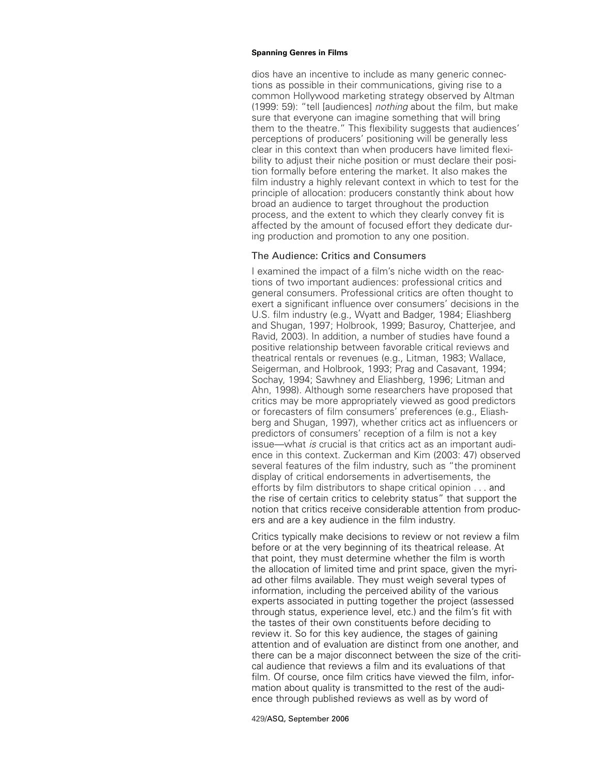dios have an incentive to include as many generic connections as possible in their communications, giving rise to a common Hollywood marketing strategy observed by Altman (1999: 59): "tell [audiences] *nothing* about the film, but make sure that everyone can imagine something that will bring them to the theatre." This flexibility suggests that audiences' perceptions of producers' positioning will be generally less clear in this context than when producers have limited flexibility to adjust their niche position or must declare their position formally before entering the market. It also makes the film industry a highly relevant context in which to test for the principle of allocation: producers constantly think about how broad an audience to target throughout the production process, and the extent to which they clearly convey fit is affected by the amount of focused effort they dedicate during production and promotion to any one position.

# The Audience: Critics and Consumers

I examined the impact of a film's niche width on the reactions of two important audiences: professional critics and general consumers. Professional critics are often thought to exert a significant influence over consumers' decisions in the U.S. film industry (e.g., Wyatt and Badger, 1984; Eliashberg and Shugan, 1997; Holbrook, 1999; Basuroy, Chatterjee, and Ravid, 2003). In addition, a number of studies have found a positive relationship between favorable critical reviews and theatrical rentals or revenues (e.g., Litman, 1983; Wallace, Seigerman, and Holbrook, 1993; Prag and Casavant, 1994; Sochay, 1994; Sawhney and Eliashberg, 1996; Litman and Ahn, 1998). Although some researchers have proposed that critics may be more appropriately viewed as good predictors or forecasters of film consumers' preferences (e.g., Eliashberg and Shugan, 1997), whether critics act as influencers or predictors of consumers' reception of a film is not a key issue—what *is* crucial is that critics act as an important audience in this context. Zuckerman and Kim (2003: 47) observed several features of the film industry, such as "the prominent display of critical endorsements in advertisements, the efforts by film distributors to shape critical opinion . . . and the rise of certain critics to celebrity status" that support the notion that critics receive considerable attention from producers and are a key audience in the film industry.

Critics typically make decisions to review or not review a film before or at the very beginning of its theatrical release. At that point, they must determine whether the film is worth the allocation of limited time and print space, given the myriad other films available. They must weigh several types of information, including the perceived ability of the various experts associated in putting together the project (assessed through status, experience level, etc.) and the film's fit with the tastes of their own constituents before deciding to review it. So for this key audience, the stages of gaining attention and of evaluation are distinct from one another, and there can be a major disconnect between the size of the critical audience that reviews a film and its evaluations of that film. Of course, once film critics have viewed the film, information about quality is transmitted to the rest of the audience through published reviews as well as by word of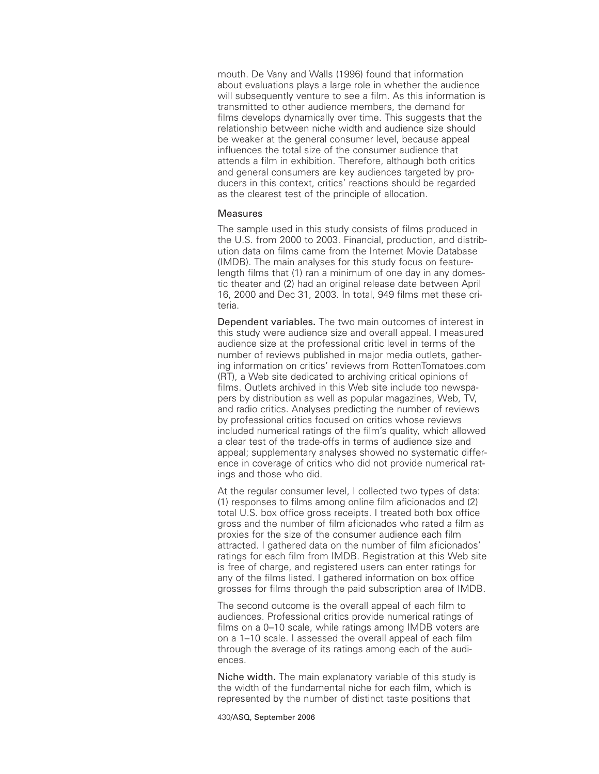mouth. De Vany and Walls (1996) found that information about evaluations plays a large role in whether the audience will subsequently venture to see a film. As this information is transmitted to other audience members, the demand for films develops dynamically over time. This suggests that the relationship between niche width and audience size should be weaker at the general consumer level, because appeal influences the total size of the consumer audience that attends a film in exhibition. Therefore, although both critics and general consumers are key audiences targeted by producers in this context, critics' reactions should be regarded as the clearest test of the principle of allocation.

# **Measures**

The sample used in this study consists of films produced in the U.S. from 2000 to 2003. Financial, production, and distribution data on films came from the Internet Movie Database (IMDB). The main analyses for this study focus on featurelength films that (1) ran a minimum of one day in any domestic theater and (2) had an original release date between April 16, 2000 and Dec 31, 2003. In total, 949 films met these criteria.

Dependent variables. The two main outcomes of interest in this study were audience size and overall appeal. I measured audience size at the professional critic level in terms of the number of reviews published in major media outlets, gathering information on critics' reviews from RottenTomatoes.com (RT), a Web site dedicated to archiving critical opinions of films. Outlets archived in this Web site include top newspapers by distribution as well as popular magazines, Web, TV, and radio critics. Analyses predicting the number of reviews by professional critics focused on critics whose reviews included numerical ratings of the film's quality, which allowed a clear test of the trade-offs in terms of audience size and appeal; supplementary analyses showed no systematic difference in coverage of critics who did not provide numerical ratings and those who did.

At the regular consumer level, I collected two types of data: (1) responses to films among online film aficionados and (2) total U.S. box office gross receipts. I treated both box office gross and the number of film aficionados who rated a film as proxies for the size of the consumer audience each film attracted. I gathered data on the number of film aficionados' ratings for each film from IMDB. Registration at this Web site is free of charge, and registered users can enter ratings for any of the films listed. I gathered information on box office grosses for films through the paid subscription area of IMDB.

The second outcome is the overall appeal of each film to audiences. Professional critics provide numerical ratings of films on a 0–10 scale, while ratings among IMDB voters are on a 1–10 scale. I assessed the overall appeal of each film through the average of its ratings among each of the audiences.

Niche width. The main explanatory variable of this study is the width of the fundamental niche for each film, which is represented by the number of distinct taste positions that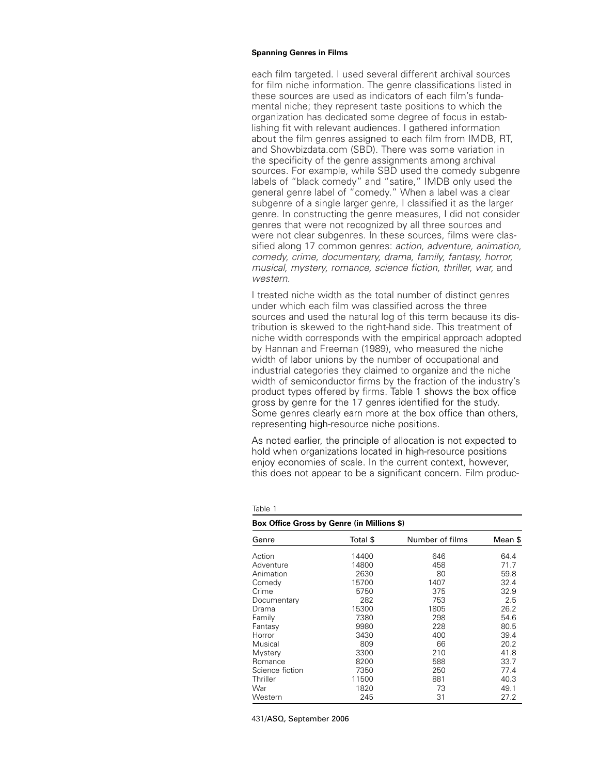each film targeted. I used several different archival sources for film niche information. The genre classifications listed in these sources are used as indicators of each film's fundamental niche; they represent taste positions to which the organization has dedicated some degree of focus in establishing fit with relevant audiences. I gathered information about the film genres assigned to each film from IMDB, RT, and Showbizdata.com (SBD). There was some variation in the specificity of the genre assignments among archival sources. For example, while SBD used the comedy subgenre labels of "black comedy" and "satire," IMDB only used the general genre label of "comedy." When a label was a clear subgenre of a single larger genre, I classified it as the larger genre. In constructing the genre measures, I did not consider genres that were not recognized by all three sources and were not clear subgenres. In these sources, films were classified along 17 common genres: *action, adventure, animation, comedy, crime, documentary, drama, family, fantasy, horror, musical, mystery, romance, science fiction, thriller, war,* and *western.*

I treated niche width as the total number of distinct genres under which each film was classified across the three sources and used the natural log of this term because its distribution is skewed to the right-hand side. This treatment of niche width corresponds with the empirical approach adopted by Hannan and Freeman (1989), who measured the niche width of labor unions by the number of occupational and industrial categories they claimed to organize and the niche width of semiconductor firms by the fraction of the industry's product types offered by firms. Table 1 shows the box office gross by genre for the 17 genres identified for the study. Some genres clearly earn more at the box office than others, representing high-resource niche positions.

As noted earlier, the principle of allocation is not expected to hold when organizations located in high-resource positions enjoy economies of scale. In the current context, however, this does not appear to be a significant concern. Film produc-

| Genre           | Total \$ | Number of films | Mean \$ |
|-----------------|----------|-----------------|---------|
| Action          | 14400    | 646             | 64.4    |
| Adventure       | 14800    | 458             | 71.7    |
| Animation       | 2630     | 80              | 59.8    |
| Comedy          | 15700    | 1407            | 32.4    |
| Crime           | 5750     | 375             | 32.9    |
| Documentary     | 282      | 753             | 2.5     |
| Drama           | 15300    | 1805            | 26.2    |
| Family          | 7380     | 298             | 54.6    |
| Fantasy         | 9980     | 228             | 80.5    |
| Horror          | 3430     | 400             | 39.4    |
| Musical         | 809      | 66              | 20.2    |
| <b>Mystery</b>  | 3300     | 210             | 41.8    |
| Romance         | 8200     | 588             | 33.7    |
| Science fiction | 7350     | 250             | 77.4    |
| Thriller        | 11500    | 881             | 40.3    |
| War             | 1820     | 73              | 49.1    |
| Western         | 245      | 31              | 27.2    |

| r. |  |
|----|--|
|    |  |

### **Box Office Gross by Genre (in Millions \$)**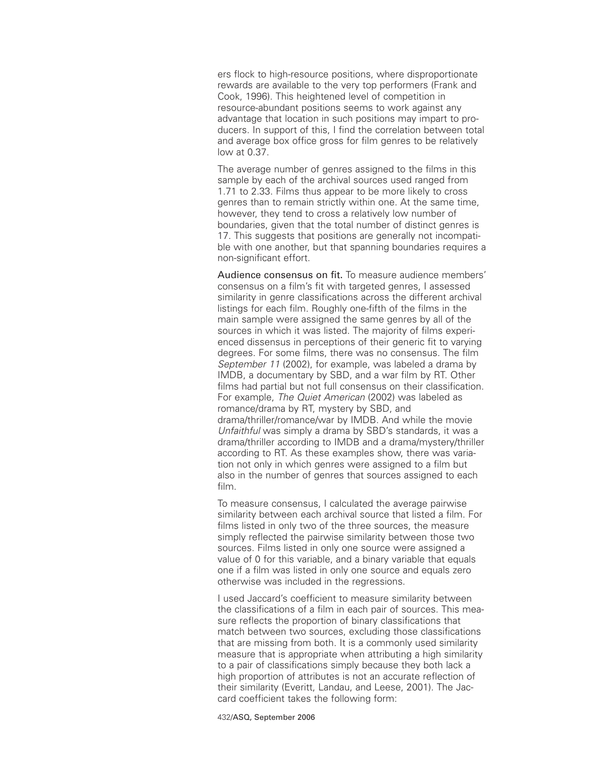ers flock to high-resource positions, where disproportionate rewards are available to the very top performers (Frank and Cook, 1996). This heightened level of competition in resource-abundant positions seems to work against any advantage that location in such positions may impart to producers. In support of this, I find the correlation between total and average box office gross for film genres to be relatively low at 0.37.

The average number of genres assigned to the films in this sample by each of the archival sources used ranged from 1.71 to 2.33. Films thus appear to be more likely to cross genres than to remain strictly within one. At the same time, however, they tend to cross a relatively low number of boundaries, given that the total number of distinct genres is 17. This suggests that positions are generally not incompatible with one another, but that spanning boundaries requires a non-significant effort.

Audience consensus on fit. To measure audience members' consensus on a film's fit with targeted genres, I assessed similarity in genre classifications across the different archival listings for each film. Roughly one-fifth of the films in the main sample were assigned the same genres by all of the sources in which it was listed. The majority of films experienced dissensus in perceptions of their generic fit to varying degrees. For some films, there was no consensus. The film *September 11* (2002), for example, was labeled a drama by IMDB, a documentary by SBD, and a war film by RT. Other films had partial but not full consensus on their classification. For example, *The Quiet American* (2002) was labeled as romance/drama by RT, mystery by SBD, and drama/thriller/romance/war by IMDB. And while the movie *Unfaithful* was simply a drama by SBD's standards, it was a drama/thriller according to IMDB and a drama/mystery/thriller according to RT. As these examples show, there was variation not only in which genres were assigned to a film but also in the number of genres that sources assigned to each film.

To measure consensus, I calculated the average pairwise similarity between each archival source that listed a film. For films listed in only two of the three sources, the measure simply reflected the pairwise similarity between those two sources. Films listed in only one source were assigned a value of 0 for this variable, and a binary variable that equals one if a film was listed in only one source and equals zero otherwise was included in the regressions.

I used Jaccard's coefficient to measure similarity between the classifications of a film in each pair of sources. This measure reflects the proportion of binary classifications that match between two sources, excluding those classifications that are missing from both. It is a commonly used similarity measure that is appropriate when attributing a high similarity to a pair of classifications simply because they both lack a high proportion of attributes is not an accurate reflection of their similarity (Everitt, Landau, and Leese, 2001). The Jaccard coefficient takes the following form: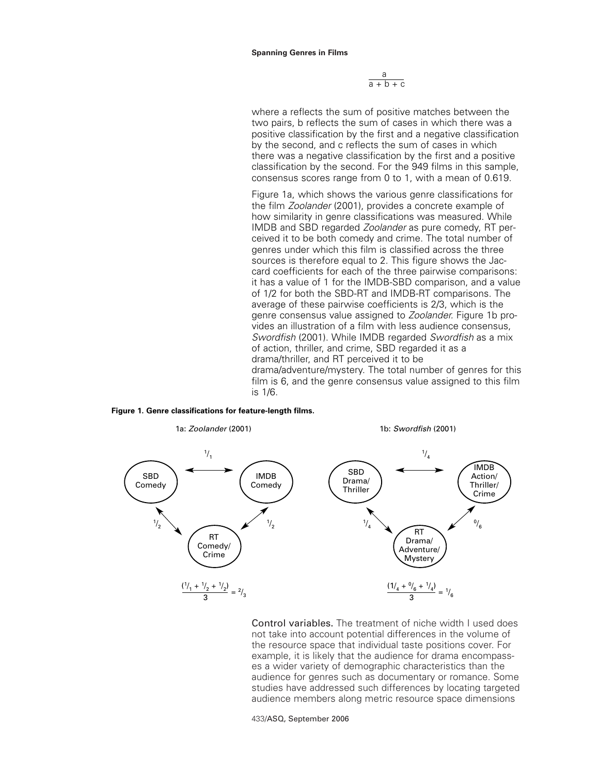a  $\overline{a + b + c}$ 

where a reflects the sum of positive matches between the two pairs, b reflects the sum of cases in which there was a positive classification by the first and a negative classification by the second, and c reflects the sum of cases in which there was a negative classification by the first and a positive classification by the second. For the 949 films in this sample, consensus scores range from 0 to 1, with a mean of 0.619.

Figure 1a, which shows the various genre classifications for the film *Zoolander* (2001), provides a concrete example of how similarity in genre classifications was measured. While IMDB and SBD regarded *Zoolander* as pure comedy, RT perceived it to be both comedy and crime. The total number of genres under which this film is classified across the three sources is therefore equal to 2. This figure shows the Jaccard coefficients for each of the three pairwise comparisons: it has a value of 1 for the IMDB-SBD comparison, and a value of 1/2 for both the SBD-RT and IMDB-RT comparisons. The average of these pairwise coefficients is 2/3, which is the genre consensus value assigned to *Zoolander.* Figure 1b provides an illustration of a film with less audience consensus, *Swordfish* (2001). While IMDB regarded *Swordfish* as a mix of action, thriller, and crime, SBD regarded it as a drama/thriller, and RT perceived it to be drama/adventure/mystery. The total number of genres for this film is 6, and the genre consensus value assigned to this film is 1/6.





Control variables. The treatment of niche width I used does not take into account potential differences in the volume of the resource space that individual taste positions cover. For example, it is likely that the audience for drama encompasses a wider variety of demographic characteristics than the audience for genres such as documentary or romance. Some studies have addressed such differences by locating targeted audience members along metric resource space dimensions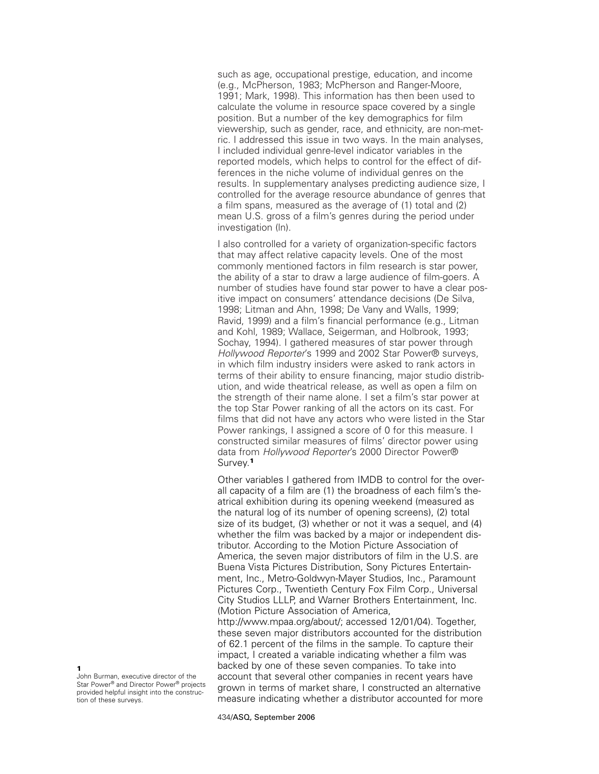such as age, occupational prestige, education, and income (e.g., McPherson, 1983; McPherson and Ranger-Moore, 1991; Mark, 1998). This information has then been used to calculate the volume in resource space covered by a single position. But a number of the key demographics for film viewership, such as gender, race, and ethnicity, are non-metric. I addressed this issue in two ways. In the main analyses, I included individual genre-level indicator variables in the reported models, which helps to control for the effect of differences in the niche volume of individual genres on the results. In supplementary analyses predicting audience size, I controlled for the average resource abundance of genres that a film spans, measured as the average of (1) total and (2) mean U.S. gross of a film's genres during the period under investigation (ln).

I also controlled for a variety of organization-specific factors that may affect relative capacity levels. One of the most commonly mentioned factors in film research is star power, the ability of a star to draw a large audience of film-goers. A number of studies have found star power to have a clear positive impact on consumers' attendance decisions (De Silva, 1998; Litman and Ahn, 1998; De Vany and Walls, 1999; Ravid, 1999) and a film's financial performance (e.g., Litman and Kohl, 1989; Wallace, Seigerman, and Holbrook, 1993; Sochay, 1994). I gathered measures of star power through *Hollywood Reporter*'s 1999 and 2002 Star Power® surveys, in which film industry insiders were asked to rank actors in terms of their ability to ensure financing, major studio distribution, and wide theatrical release, as well as open a film on the strength of their name alone. I set a film's star power at the top Star Power ranking of all the actors on its cast. For films that did not have any actors who were listed in the Star Power rankings, I assigned a score of 0 for this measure. I constructed similar measures of films' director power using data from *Hollywood Reporter*'s 2000 Director Power® Survey.**<sup>1</sup>**

Other variables I gathered from IMDB to control for the overall capacity of a film are (1) the broadness of each film's theatrical exhibition during its opening weekend (measured as the natural log of its number of opening screens), (2) total size of its budget, (3) whether or not it was a sequel, and (4) whether the film was backed by a major or independent distributor. According to the Motion Picture Association of America, the seven major distributors of film in the U.S. are Buena Vista Pictures Distribution, Sony Pictures Entertainment, Inc., Metro-Goldwyn-Mayer Studios, Inc., Paramount Pictures Corp., Twentieth Century Fox Film Corp., Universal City Studios LLLP, and Warner Brothers Entertainment, Inc. (Motion Picture Association of America, http://www.mpaa.org/about/; accessed 12/01/04). Together, these seven major distributors accounted for the distribution of 62.1 percent of the films in the sample. To capture their impact, I created a variable indicating whether a film was backed by one of these seven companies. To take into account that several other companies in recent years have grown in terms of market share, I constructed an alternative measure indicating whether a distributor accounted for more

**1** John Burman, executive director of the Star Power® and Director Power® projects provided helpful insight into the construction of these surveys.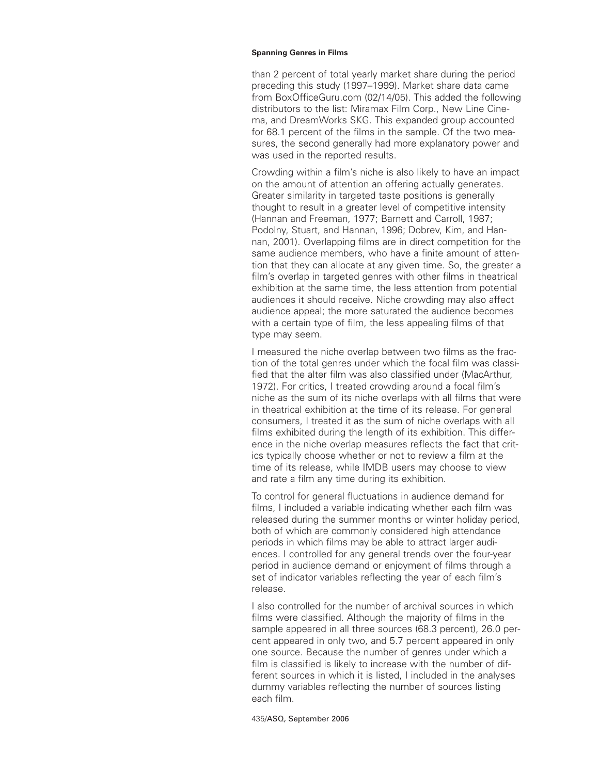than 2 percent of total yearly market share during the period preceding this study (1997–1999). Market share data came from BoxOfficeGuru.com (02/14/05). This added the following distributors to the list: Miramax Film Corp., New Line Cinema, and DreamWorks SKG. This expanded group accounted for 68.1 percent of the films in the sample. Of the two measures, the second generally had more explanatory power and was used in the reported results.

Crowding within a film's niche is also likely to have an impact on the amount of attention an offering actually generates. Greater similarity in targeted taste positions is generally thought to result in a greater level of competitive intensity (Hannan and Freeman, 1977; Barnett and Carroll, 1987; Podolny, Stuart, and Hannan, 1996; Dobrev, Kim, and Hannan, 2001). Overlapping films are in direct competition for the same audience members, who have a finite amount of attention that they can allocate at any given time. So, the greater a film's overlap in targeted genres with other films in theatrical exhibition at the same time, the less attention from potential audiences it should receive. Niche crowding may also affect audience appeal; the more saturated the audience becomes with a certain type of film, the less appealing films of that type may seem.

I measured the niche overlap between two films as the fraction of the total genres under which the focal film was classified that the alter film was also classified under (MacArthur, 1972). For critics, I treated crowding around a focal film's niche as the sum of its niche overlaps with all films that were in theatrical exhibition at the time of its release. For general consumers, I treated it as the sum of niche overlaps with all films exhibited during the length of its exhibition. This difference in the niche overlap measures reflects the fact that critics typically choose whether or not to review a film at the time of its release, while IMDB users may choose to view and rate a film any time during its exhibition.

To control for general fluctuations in audience demand for films, I included a variable indicating whether each film was released during the summer months or winter holiday period, both of which are commonly considered high attendance periods in which films may be able to attract larger audiences. I controlled for any general trends over the four-year period in audience demand or enjoyment of films through a set of indicator variables reflecting the year of each film's release.

I also controlled for the number of archival sources in which films were classified. Although the majority of films in the sample appeared in all three sources (68.3 percent), 26.0 percent appeared in only two, and 5.7 percent appeared in only one source. Because the number of genres under which a film is classified is likely to increase with the number of different sources in which it is listed, I included in the analyses dummy variables reflecting the number of sources listing each film.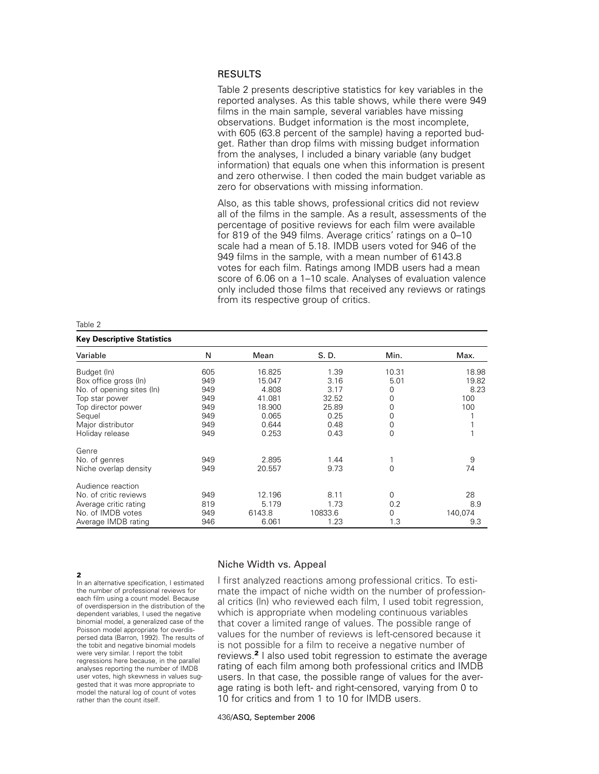# RESULTS

Table 2 presents descriptive statistics for key variables in the reported analyses. As this table shows, while there were 949 films in the main sample, several variables have missing observations. Budget information is the most incomplete, with 605 (63.8 percent of the sample) having a reported budget. Rather than drop films with missing budget information from the analyses, I included a binary variable (any budget information) that equals one when this information is present and zero otherwise. I then coded the main budget variable as zero for observations with missing information.

Also, as this table shows, professional critics did not review all of the films in the sample. As a result, assessments of the percentage of positive reviews for each film were available for 819 of the 949 films. Average critics' ratings on a 0–10 scale had a mean of 5.18. IMDB users voted for 946 of the 949 films in the sample, with a mean number of 6143.8 votes for each film. Ratings among IMDB users had a mean score of 6.06 on a 1–10 scale. Analyses of evaluation valence only included those films that received any reviews or ratings from its respective group of critics.

# **Key Descriptive Statistics**

| Variable                  | N   | Mean   | S. D.   | Min.     | Max.    |
|---------------------------|-----|--------|---------|----------|---------|
| Budget (In)               | 605 | 16.825 | 1.39    | 10.31    | 18.98   |
| Box office gross (In)     | 949 | 15.047 | 3.16    | 5.01     | 19.82   |
| No. of opening sites (ln) | 949 | 4.808  | 3.17    | 0        | 8.23    |
| Top star power            | 949 | 41.081 | 32.52   | 0        | 100     |
| Top director power        | 949 | 18.900 | 25.89   | 0        | 100     |
| Sequel                    | 949 | 0.065  | 0.25    | 0        |         |
| Major distributor         | 949 | 0.644  | 0.48    | 0        |         |
| Holiday release           | 949 | 0.253  | 0.43    | 0        |         |
| Genre                     |     |        |         |          |         |
| No. of genres             | 949 | 2.895  | 1.44    |          | 9       |
| Niche overlap density     | 949 | 20.557 | 9.73    | $\Omega$ | 74      |
| Audience reaction         |     |        |         |          |         |
| No. of critic reviews     | 949 | 12.196 | 8.11    | $\Omega$ | 28      |
| Average critic rating     | 819 | 5.179  | 1.73    | 0.2      | 8.9     |
| No. of IMDB votes         | 949 | 6143.8 | 10833.6 | 0        | 140,074 |
| Average IMDB rating       | 946 | 6.061  | 1.23    | 1.3      | 9.3     |

### **2**

In an alternative specification, I estimated the number of professional reviews for each film using a count model. Because of overdispersion in the distribution of the dependent variables, I used the negative binomial model, a generalized case of the Poisson model appropriate for overdispersed data (Barron, 1992). The results of the tobit and negative binomial models were very similar. I report the tobit regressions here because, in the parallel analyses reporting the number of IMDB user votes, high skewness in values suggested that it was more appropriate to model the natural log of count of votes rather than the count itself.

## Niche Width vs. Appeal

I first analyzed reactions among professional critics. To estimate the impact of niche width on the number of professional critics (ln) who reviewed each film, I used tobit regression, which is appropriate when modeling continuous variables that cover a limited range of values. The possible range of values for the number of reviews is left-censored because it is not possible for a film to receive a negative number of reviews.**<sup>2</sup>** I also used tobit regression to estimate the average rating of each film among both professional critics and IMDB users. In that case, the possible range of values for the average rating is both left- and right-censored, varying from 0 to 10 for critics and from 1 to 10 for IMDB users.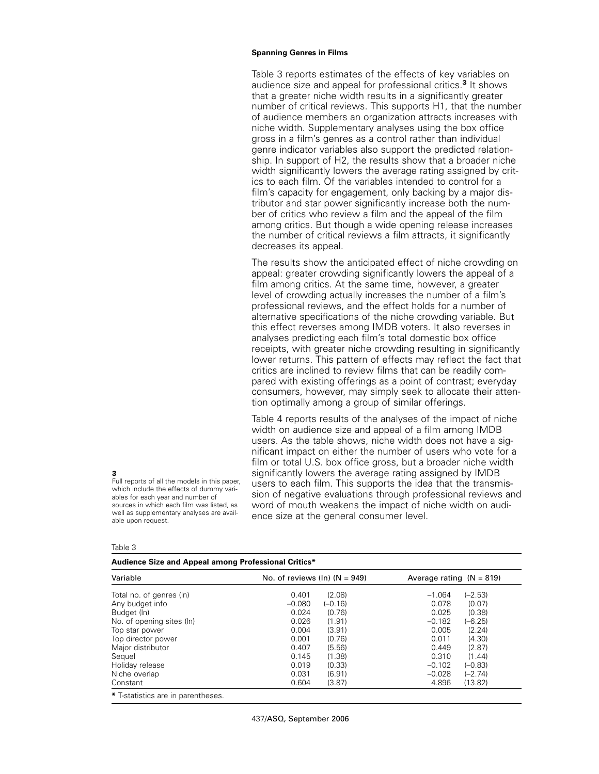Table 3 reports estimates of the effects of key variables on audience size and appeal for professional critics.**<sup>3</sup>** It shows that a greater niche width results in a significantly greater number of critical reviews. This supports H1, that the number of audience members an organization attracts increases with niche width. Supplementary analyses using the box office gross in a film's genres as a control rather than individual genre indicator variables also support the predicted relationship. In support of H2, the results show that a broader niche width significantly lowers the average rating assigned by critics to each film. Of the variables intended to control for a film's capacity for engagement, only backing by a major distributor and star power significantly increase both the number of critics who review a film and the appeal of the film among critics. But though a wide opening release increases the number of critical reviews a film attracts, it significantly decreases its appeal.

The results show the anticipated effect of niche crowding on appeal: greater crowding significantly lowers the appeal of a film among critics. At the same time, however, a greater level of crowding actually increases the number of a film's professional reviews, and the effect holds for a number of alternative specifications of the niche crowding variable. But this effect reverses among IMDB voters. It also reverses in analyses predicting each film's total domestic box office receipts, with greater niche crowding resulting in significantly lower returns. This pattern of effects may reflect the fact that critics are inclined to review films that can be readily compared with existing offerings as a point of contrast; everyday consumers, however, may simply seek to allocate their attention optimally among a group of similar offerings.

Table 4 reports results of the analyses of the impact of niche width on audience size and appeal of a film among IMDB users. As the table shows, niche width does not have a significant impact on either the number of users who vote for a film or total U.S. box office gross, but a broader niche width significantly lowers the average rating assigned by IMDB users to each film. This supports the idea that the transmission of negative evaluations through professional reviews and word of mouth weakens the impact of niche width on audience size at the general consumer level.

Table 3

able upon request.

|  |  |  |  | Audience Size and Appeal among Professional Critics* |  |
|--|--|--|--|------------------------------------------------------|--|
|--|--|--|--|------------------------------------------------------|--|

sources in which each film was listed, as well as supplementary analyses are avail-

| 0.401<br>$-0.080$<br>0.024<br>0.026 | (2.08)<br>$(-0.16)$<br>(0.76)<br>(1.91) | $-1.064$<br>0.078<br>0.025<br>$-0.182$ | $(-2.53)$<br>(0.07)<br>(0.38)<br>$(-6.25)$ |
|-------------------------------------|-----------------------------------------|----------------------------------------|--------------------------------------------|
|                                     |                                         |                                        |                                            |
|                                     |                                         |                                        |                                            |
|                                     |                                         |                                        |                                            |
|                                     |                                         |                                        |                                            |
| 0.004                               | (3.91)                                  | 0.005                                  | (2.24)                                     |
| 0.001                               | (0.76)                                  | 0.011                                  | (4.30)                                     |
| 0.407                               | (5.56)                                  | 0.449                                  | (2.87)                                     |
| 0.145                               | (1.38)                                  | 0.310                                  | (1.44)                                     |
| 0.019                               | (0.33)                                  | $-0.102$                               | $(-0.83)$                                  |
| 0.031                               | (6.91)                                  | $-0.028$                               | $(-2.74)$                                  |
| 0.604                               | (3.87)                                  | 4.896                                  | (13.82)                                    |
|                                     |                                         |                                        |                                            |

**3** Full reports of all the models in this paper, which include the effects of dummy variables for each year and number of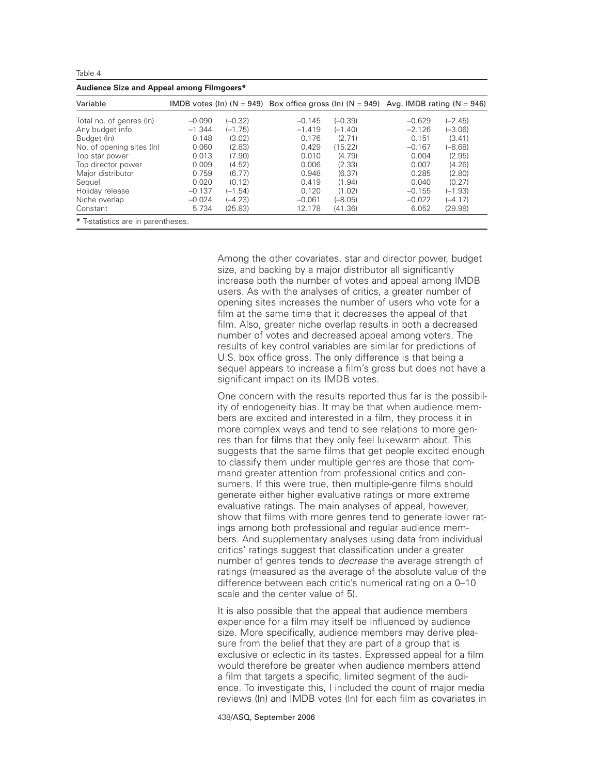|--|--|--|--|

| Audience Size and Appeal among Filmgoers* |          |           |                                                                                      |           |          |           |  |
|-------------------------------------------|----------|-----------|--------------------------------------------------------------------------------------|-----------|----------|-----------|--|
| Variable                                  |          |           | IMDB votes (In) (N = 949) Box office gross (In) (N = 949) Avg. IMDB rating (N = 946) |           |          |           |  |
| Total no. of genres (In)                  | $-0.090$ | $(-0.32)$ | $-0.145$                                                                             | $(-0.39)$ | $-0.629$ | $(-2.45)$ |  |
| Any budget info                           | $-1.344$ | $(-1.75)$ | $-1.419$                                                                             | $(-1.40)$ | $-2.126$ | $(-3.06)$ |  |
| Budget (In)                               | 0.148    | (3.02)    | 0.176                                                                                | (2.71)    | 0.151    | (3.41)    |  |
| No. of opening sites (In)                 | 0.060    | (2.83)    | 0.429                                                                                | (15.22)   | $-0.167$ | $(-8.68)$ |  |
| Top star power                            | 0.013    | (7.90)    | 0.010                                                                                | (4.79)    | 0.004    | (2.95)    |  |
| Top director power                        | 0.009    | (4.52)    | 0.006                                                                                | (2.33)    | 0.007    | (4.26)    |  |
| Major distributor                         | 0.759    | (6.77)    | 0.948                                                                                | (6.37)    | 0.285    | (2.80)    |  |
| Sequel                                    | 0.020    | (0.12)    | 0.419                                                                                | (1.94)    | 0.040    | (0.27)    |  |
| Holiday release                           | $-0.137$ | $(-1.54)$ | 0.120                                                                                | (1.02)    | $-0.155$ | $(-1.93)$ |  |
| Niche overlap                             | $-0.024$ | $(-4.23)$ | $-0.061$                                                                             | $(-8.05)$ | $-0.022$ | $(-4.17)$ |  |
| Constant                                  | 5.734    | (25.83)   | 12.178                                                                               | (41.36)   | 6.052    | (29.98)   |  |
| * T-statistics are in parentheses.        |          |           |                                                                                      |           |          |           |  |

Among the other covariates, star and director power, budget size, and backing by a major distributor all significantly increase both the number of votes and appeal among IMDB users. As with the analyses of critics, a greater number of opening sites increases the number of users who vote for a film at the same time that it decreases the appeal of that film. Also, greater niche overlap results in both a decreased number of votes and decreased appeal among voters. The results of key control variables are similar for predictions of U.S. box office gross. The only difference is that being a sequel appears to increase a film's gross but does not have a significant impact on its IMDB votes.

One concern with the results reported thus far is the possibility of endogeneity bias. It may be that when audience members are excited and interested in a film, they process it in more complex ways and tend to see relations to more genres than for films that they only feel lukewarm about. This suggests that the same films that get people excited enough to classify them under multiple genres are those that command greater attention from professional critics and consumers. If this were true, then multiple-genre films should generate either higher evaluative ratings or more extreme evaluative ratings. The main analyses of appeal, however, show that films with more genres tend to generate lower ratings among both professional and regular audience members. And supplementary analyses using data from individual critics' ratings suggest that classification under a greater number of genres tends to *decrease* the average strength of ratings (measured as the average of the absolute value of the difference between each critic's numerical rating on a 0–10 scale and the center value of 5).

It is also possible that the appeal that audience members experience for a film may itself be influenced by audience size. More specifically, audience members may derive pleasure from the belief that they are part of a group that is exclusive or eclectic in its tastes. Expressed appeal for a film would therefore be greater when audience members attend a film that targets a specific, limited segment of the audience. To investigate this, I included the count of major media reviews (ln) and IMDB votes (ln) for each film as covariates in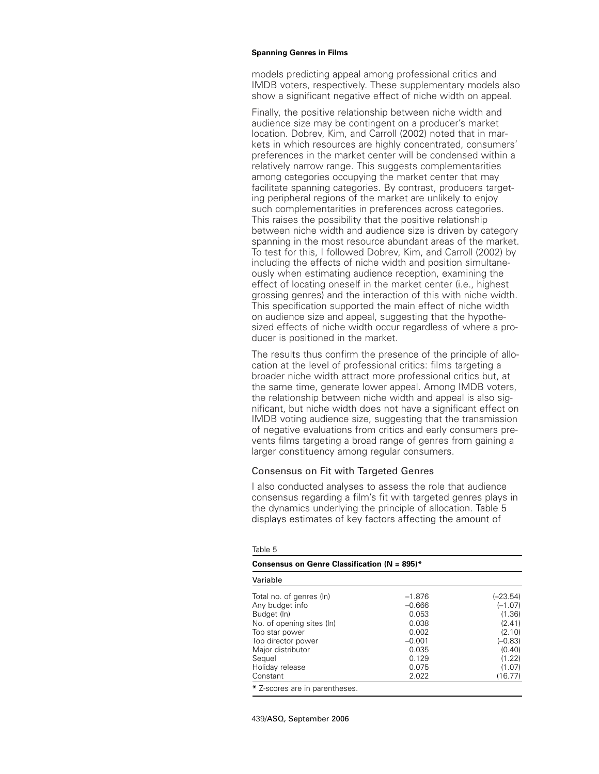models predicting appeal among professional critics and IMDB voters, respectively. These supplementary models also show a significant negative effect of niche width on appeal.

Finally, the positive relationship between niche width and audience size may be contingent on a producer's market location. Dobrev, Kim, and Carroll (2002) noted that in markets in which resources are highly concentrated, consumers' preferences in the market center will be condensed within a relatively narrow range. This suggests complementarities among categories occupying the market center that may facilitate spanning categories. By contrast, producers targeting peripheral regions of the market are unlikely to enjoy such complementarities in preferences across categories. This raises the possibility that the positive relationship between niche width and audience size is driven by category spanning in the most resource abundant areas of the market. To test for this, I followed Dobrev, Kim, and Carroll (2002) by including the effects of niche width and position simultaneously when estimating audience reception, examining the effect of locating oneself in the market center (i.e., highest grossing genres) and the interaction of this with niche width. This specification supported the main effect of niche width on audience size and appeal, suggesting that the hypothesized effects of niche width occur regardless of where a producer is positioned in the market.

The results thus confirm the presence of the principle of allocation at the level of professional critics: films targeting a broader niche width attract more professional critics but, at the same time, generate lower appeal. Among IMDB voters, the relationship between niche width and appeal is also significant, but niche width does not have a significant effect on IMDB voting audience size, suggesting that the transmission of negative evaluations from critics and early consumers prevents films targeting a broad range of genres from gaining a larger constituency among regular consumers.

# Consensus on Fit with Targeted Genres

I also conducted analyses to assess the role that audience consensus regarding a film's fit with targeted genres plays in the dynamics underlying the principle of allocation. Table 5 displays estimates of key factors affecting the amount of

| Consensus on Genre Classification ( $N = 895$ )*                                                                                |                                                             |                                                                    |  |
|---------------------------------------------------------------------------------------------------------------------------------|-------------------------------------------------------------|--------------------------------------------------------------------|--|
| Variable                                                                                                                        |                                                             |                                                                    |  |
| Total no. of genres (In)<br>Any budget info<br>Budget (In)<br>No. of opening sites (ln)<br>Top star power<br>Top director power | $-1.876$<br>$-0.666$<br>0.053<br>0.038<br>0.002<br>$-0.001$ | $(-23.54)$<br>$(-1.07)$<br>(1.36)<br>(2.41)<br>(2.10)<br>$(-0.83)$ |  |
| Major distributor<br>Sequel<br>Holiday release<br>Constant                                                                      | 0.035<br>0.129<br>0.075<br>2.022                            | (0.40)<br>(1.22)<br>(1.07)<br>(16.77)                              |  |
| * Z-scores are in parentheses.                                                                                                  |                                                             |                                                                    |  |

## Table 5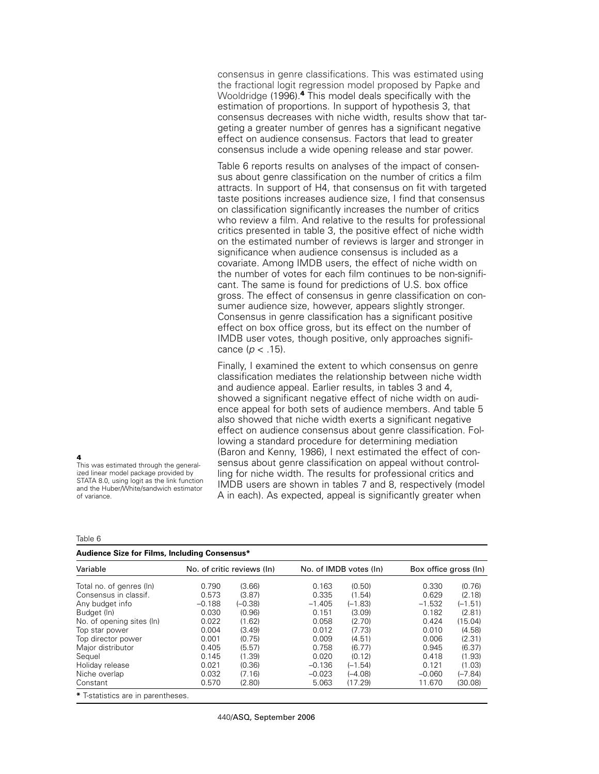consensus in genre classifications. This was estimated using the fractional logit regression model proposed by Papke and Wooldridge (1996).**<sup>4</sup>** This model deals specifically with the estimation of proportions. In support of hypothesis 3, that consensus decreases with niche width, results show that targeting a greater number of genres has a significant negative effect on audience consensus. Factors that lead to greater consensus include a wide opening release and star power.

Table 6 reports results on analyses of the impact of consensus about genre classification on the number of critics a film attracts. In support of H4, that consensus on fit with targeted taste positions increases audience size, I find that consensus on classification significantly increases the number of critics who review a film. And relative to the results for professional critics presented in table 3, the positive effect of niche width on the estimated number of reviews is larger and stronger in significance when audience consensus is included as a covariate. Among IMDB users, the effect of niche width on the number of votes for each film continues to be non-significant. The same is found for predictions of U.S. box office gross. The effect of consensus in genre classification on consumer audience size, however, appears slightly stronger. Consensus in genre classification has a significant positive effect on box office gross, but its effect on the number of IMDB user votes, though positive, only approaches significance (*p* < .15).

Finally, I examined the extent to which consensus on genre classification mediates the relationship between niche width and audience appeal. Earlier results, in tables 3 and 4, showed a significant negative effect of niche width on audience appeal for both sets of audience members. And table 5 also showed that niche width exerts a significant negative effect on audience consensus about genre classification. Following a standard procedure for determining mediation (Baron and Kenny, 1986), I next estimated the effect of consensus about genre classification on appeal without controlling for niche width. The results for professional critics and IMDB users are shown in tables 7 and 8, respectively (model A in each). As expected, appeal is significantly greater when

**4**

This was estimated through the generalized linear model package provided by STATA 8.0, using logit as the link function and the Huber/White/sandwich estimator of variance.

| I |  |
|---|--|

| Audience Size for Films, Including Consensus* |                            |           |          |                        |                       |           |
|-----------------------------------------------|----------------------------|-----------|----------|------------------------|-----------------------|-----------|
| Variable                                      | No. of critic reviews (In) |           |          | No. of IMDB votes (In) | Box office gross (In) |           |
| Total no. of genres (In)                      | 0.790                      | (3.66)    | 0.163    | (0.50)                 | 0.330                 | (0.76)    |
| Consensus in classif.                         | 0.573                      | (3.87)    | 0.335    | (1.54)                 | 0.629                 | (2.18)    |
| Any budget info                               | $-0.188$                   | $(-0.38)$ | $-1.405$ | (–1.83)                | $-1.532$              | $(-1.51)$ |
| Budget (In)                                   | 0.030                      | (0.96)    | 0.151    | (3.09)                 | 0.182                 | (2.81)    |
| No. of opening sites (In)                     | 0.022                      | (1.62)    | 0.058    | (2.70)                 | 0.424                 | (15.04)   |
| Top star power                                | 0.004                      | (3.49)    | 0.012    | (7.73)                 | 0.010                 | (4.58)    |
| Top director power                            | 0.001                      | (0.75)    | 0.009    | (4.51)                 | 0.006                 | (2.31)    |
| Major distributor                             | 0.405                      | (5.57)    | 0.758    | (6.77)                 | 0.945                 | (6.37)    |
| Sequel                                        | 0.145                      | (1.39)    | 0.020    | (0.12)                 | 0.418                 | (1.93)    |
| Holiday release                               | 0.021                      | (0.36)    | $-0.136$ | $(-1.54)$              | 0.121                 | (1.03)    |
| Niche overlap                                 | 0.032                      | (7.16)    | $-0.023$ | $(-4.08)$              | $-0.060$              | $(-7.84)$ |
| Constant                                      | 0.570                      | (2.80)    | 5.063    | (17.29)                | 11.670                | (30.08)   |
| * T-statistics are in parentheses.            |                            |           |          |                        |                       |           |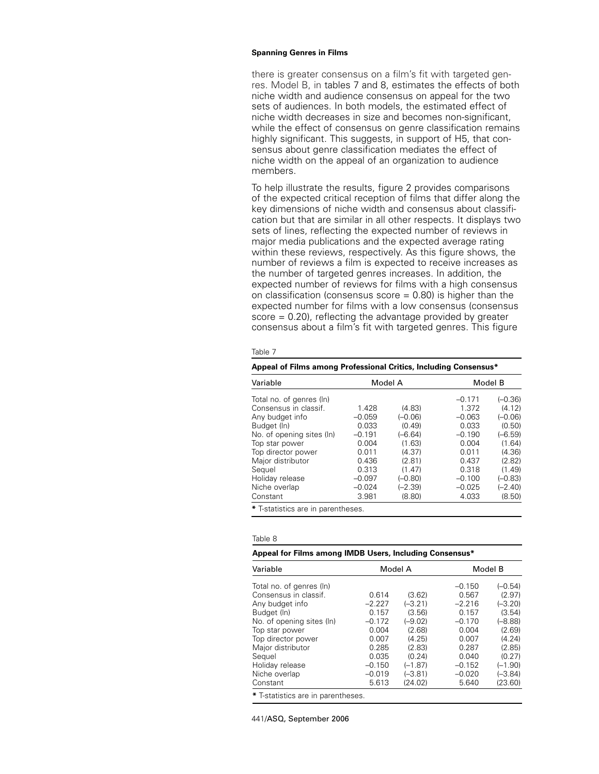there is greater consensus on a film's fit with targeted genres. Model B, in tables 7 and 8, estimates the effects of both niche width and audience consensus on appeal for the two sets of audiences. In both models, the estimated effect of niche width decreases in size and becomes non-significant, while the effect of consensus on genre classification remains highly significant. This suggests, in support of H5, that consensus about genre classification mediates the effect of niche width on the appeal of an organization to audience members.

To help illustrate the results, figure 2 provides comparisons of the expected critical reception of films that differ along the key dimensions of niche width and consensus about classification but that are similar in all other respects. It displays two sets of lines, reflecting the expected number of reviews in major media publications and the expected average rating within these reviews, respectively. As this figure shows, the number of reviews a film is expected to receive increases as the number of targeted genres increases. In addition, the expected number of reviews for films with a high consensus on classification (consensus score  $= 0.80$ ) is higher than the expected number for films with a low consensus (consensus  $score = 0.20$ , reflecting the advantage provided by greater consensus about a film's fit with targeted genres. This figure

#### Table 7

| Appeal of Films among Professional Critics, Including Consensus* |          |           |          |           |  |  |
|------------------------------------------------------------------|----------|-----------|----------|-----------|--|--|
| Variable                                                         |          | Model A   |          | Model B   |  |  |
| Total no. of genres (In)                                         |          |           | $-0.171$ | $(-0.36)$ |  |  |
| Consensus in classif.                                            | 1.428    | (4.83)    | 1.372    | (4.12)    |  |  |
| Any budget info                                                  | $-0.059$ | $(-0.06)$ | $-0.063$ | $(-0.06)$ |  |  |
| Budget (In)                                                      | 0.033    | (0.49)    | 0.033    | (0.50)    |  |  |
| No. of opening sites (ln)                                        | $-0.191$ | $(-6.64)$ | $-0.190$ | $(-6.59)$ |  |  |
| Top star power                                                   | 0.004    | (1.63)    | 0.004    | (1.64)    |  |  |
| Top director power                                               | 0.011    | (4.37)    | 0.011    | (4.36)    |  |  |
| Major distributor                                                | 0.436    | (2.81)    | 0.437    | (2.82)    |  |  |
| Sequel                                                           | 0.313    | (1.47)    | 0.318    | (1.49)    |  |  |
| Holiday release                                                  | $-0.097$ | $(-0.80)$ | $-0.100$ | $(-0.83)$ |  |  |
| Niche overlap                                                    | $-0.024$ | $(-2.39)$ | $-0.025$ | $(-2.40)$ |  |  |
| Constant                                                         | 3.981    | (8.80)    | 4.033    | (8.50)    |  |  |
| # Territates and in accordance                                   |          |           |          |           |  |  |

**\*** T-statistics are in parentheses.

#### Table 8

### **Appeal for Films among IMDB Users, Including Consensus\***

| Variable                           |          | Model A   |          | Model B   |  |  |  |  |
|------------------------------------|----------|-----------|----------|-----------|--|--|--|--|
| Total no. of genres (ln)           |          |           | $-0.150$ | $(-0.54)$ |  |  |  |  |
| Consensus in classif.              | 0.614    | (3.62)    | 0.567    | (2.97)    |  |  |  |  |
| Any budget info                    | $-2.227$ | $(-3.21)$ | $-2.216$ | $(-3.20)$ |  |  |  |  |
| Budget (In)                        | 0.157    | (3.56)    | 0.157    | (3.54)    |  |  |  |  |
| No. of opening sites (ln)          | $-0.172$ | $(-9.02)$ | $-0.170$ | $(-8.88)$ |  |  |  |  |
| Top star power                     | 0.004    | (2.68)    | 0.004    | (2.69)    |  |  |  |  |
| Top director power                 | 0.007    | (4.25)    | 0.007    | (4.24)    |  |  |  |  |
| Major distributor                  | 0.285    | (2.83)    | 0.287    | (2.85)    |  |  |  |  |
| Sequel                             | 0.035    | (0.24)    | 0.040    | (0.27)    |  |  |  |  |
| Holiday release                    | $-0.150$ | $(-1.87)$ | $-0.152$ | $(-1.90)$ |  |  |  |  |
| Niche overlap                      | $-0.019$ | $(-3.81)$ | $-0.020$ | $(-3.84)$ |  |  |  |  |
| Constant                           | 5.613    | (24.02)   | 5.640    | (23.60)   |  |  |  |  |
| * T-statistics are in parentheses. |          |           |          |           |  |  |  |  |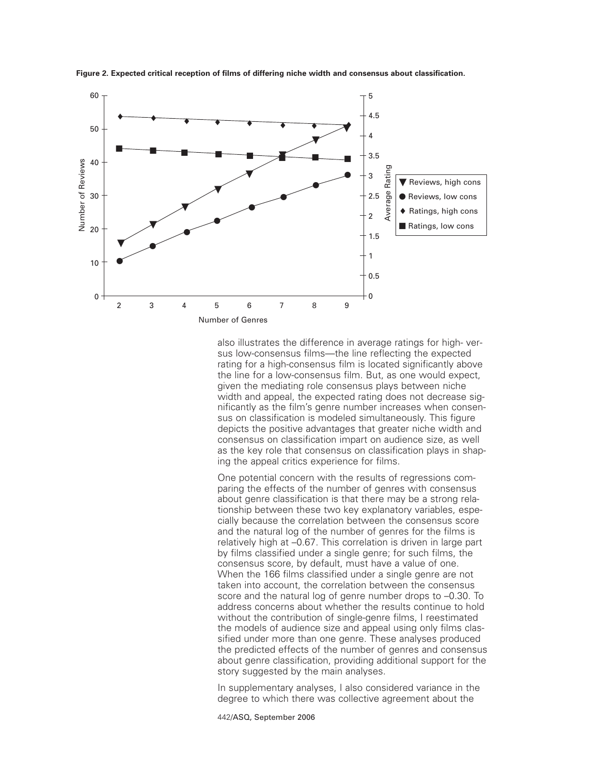

**Figure 2. Expected critical reception of films of differing niche width and consensus about classification.**

also illustrates the difference in average ratings for high- versus low-consensus films—the line reflecting the expected rating for a high-consensus film is located significantly above the line for a low-consensus film. But, as one would expect, given the mediating role consensus plays between niche width and appeal, the expected rating does not decrease significantly as the film's genre number increases when consensus on classification is modeled simultaneously. This figure depicts the positive advantages that greater niche width and consensus on classification impart on audience size, as well as the key role that consensus on classification plays in shaping the appeal critics experience for films.

One potential concern with the results of regressions comparing the effects of the number of genres with consensus about genre classification is that there may be a strong relationship between these two key explanatory variables, especially because the correlation between the consensus score and the natural log of the number of genres for the films is relatively high at –0.67. This correlation is driven in large part by films classified under a single genre; for such films, the consensus score, by default, must have a value of one. When the 166 films classified under a single genre are not taken into account, the correlation between the consensus score and the natural log of genre number drops to –0.30. To address concerns about whether the results continue to hold without the contribution of single-genre films, I reestimated the models of audience size and appeal using only films classified under more than one genre. These analyses produced the predicted effects of the number of genres and consensus about genre classification, providing additional support for the story suggested by the main analyses.

In supplementary analyses, I also considered variance in the degree to which there was collective agreement about the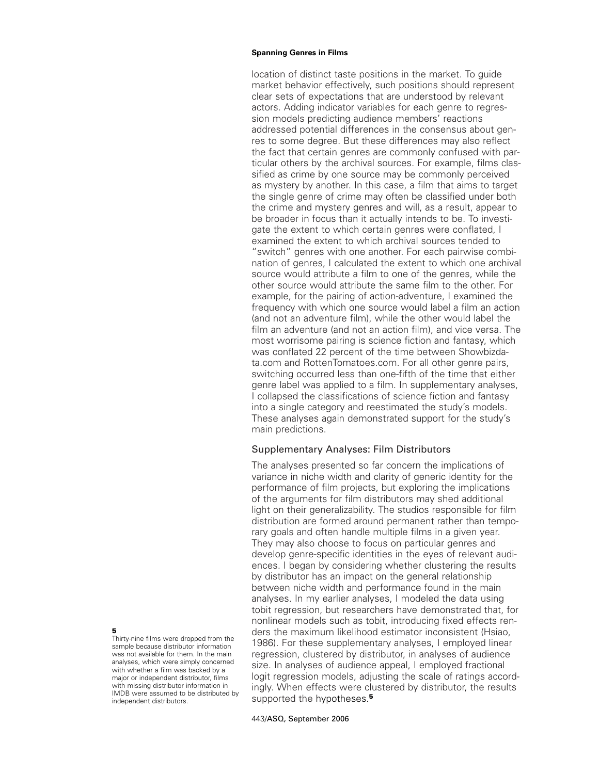location of distinct taste positions in the market. To guide market behavior effectively, such positions should represent clear sets of expectations that are understood by relevant actors. Adding indicator variables for each genre to regression models predicting audience members' reactions addressed potential differences in the consensus about genres to some degree. But these differences may also reflect the fact that certain genres are commonly confused with particular others by the archival sources. For example, films classified as crime by one source may be commonly perceived as mystery by another. In this case, a film that aims to target the single genre of crime may often be classified under both the crime and mystery genres and will, as a result, appear to be broader in focus than it actually intends to be. To investigate the extent to which certain genres were conflated, I examined the extent to which archival sources tended to "switch" genres with one another. For each pairwise combination of genres, I calculated the extent to which one archival source would attribute a film to one of the genres, while the other source would attribute the same film to the other. For example, for the pairing of action-adventure, I examined the frequency with which one source would label a film an action (and not an adventure film), while the other would label the film an adventure (and not an action film), and vice versa. The most worrisome pairing is science fiction and fantasy, which was conflated 22 percent of the time between Showbizdata.com and RottenTomatoes.com. For all other genre pairs, switching occurred less than one-fifth of the time that either genre label was applied to a film. In supplementary analyses, I collapsed the classifications of science fiction and fantasy into a single category and reestimated the study's models. These analyses again demonstrated support for the study's main predictions.

# Supplementary Analyses: Film Distributors

The analyses presented so far concern the implications of variance in niche width and clarity of generic identity for the performance of film projects, but exploring the implications of the arguments for film distributors may shed additional light on their generalizability. The studios responsible for film distribution are formed around permanent rather than temporary goals and often handle multiple films in a given year. They may also choose to focus on particular genres and develop genre-specific identities in the eyes of relevant audiences. I began by considering whether clustering the results by distributor has an impact on the general relationship between niche width and performance found in the main analyses. In my earlier analyses, I modeled the data using tobit regression, but researchers have demonstrated that, for nonlinear models such as tobit, introducing fixed effects renders the maximum likelihood estimator inconsistent (Hsiao, 1986). For these supplementary analyses, I employed linear regression, clustered by distributor, in analyses of audience size. In analyses of audience appeal, I employed fractional logit regression models, adjusting the scale of ratings accordingly. When effects were clustered by distributor, the results supported the hypotheses.**<sup>5</sup>**

# **5**

Thirty-nine films were dropped from the sample because distributor information was not available for them. In the main analyses, which were simply concerned with whether a film was backed by a major or independent distributor, films with missing distributor information in IMDB were assumed to be distributed by independent distributors.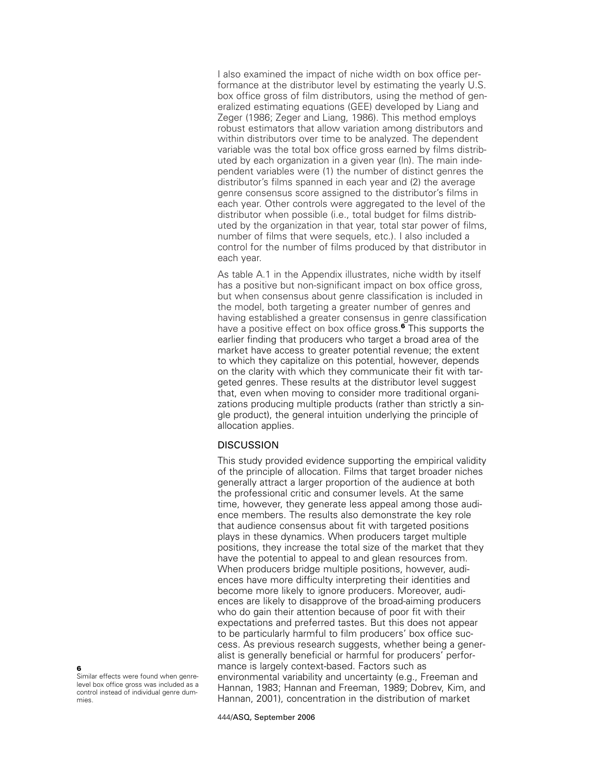I also examined the impact of niche width on box office performance at the distributor level by estimating the yearly U.S. box office gross of film distributors, using the method of generalized estimating equations (GEE) developed by Liang and Zeger (1986; Zeger and Liang, 1986). This method employs robust estimators that allow variation among distributors and within distributors over time to be analyzed. The dependent variable was the total box office gross earned by films distributed by each organization in a given year (ln). The main independent variables were (1) the number of distinct genres the distributor's films spanned in each year and (2) the average genre consensus score assigned to the distributor's films in each year. Other controls were aggregated to the level of the distributor when possible (i.e., total budget for films distributed by the organization in that year, total star power of films, number of films that were sequels, etc.). I also included a control for the number of films produced by that distributor in each year.

As table A.1 in the Appendix illustrates, niche width by itself has a positive but non-significant impact on box office gross, but when consensus about genre classification is included in the model, both targeting a greater number of genres and having established a greater consensus in genre classification have a positive effect on box office gross.**<sup>6</sup>** This supports the earlier finding that producers who target a broad area of the market have access to greater potential revenue; the extent to which they capitalize on this potential, however, depends on the clarity with which they communicate their fit with targeted genres. These results at the distributor level suggest that, even when moving to consider more traditional organizations producing multiple products (rather than strictly a single product), the general intuition underlying the principle of allocation applies.

# **DISCUSSION**

This study provided evidence supporting the empirical validity of the principle of allocation. Films that target broader niches generally attract a larger proportion of the audience at both the professional critic and consumer levels. At the same time, however, they generate less appeal among those audience members. The results also demonstrate the key role that audience consensus about fit with targeted positions plays in these dynamics. When producers target multiple positions, they increase the total size of the market that they have the potential to appeal to and glean resources from. When producers bridge multiple positions, however, audiences have more difficulty interpreting their identities and become more likely to ignore producers. Moreover, audiences are likely to disapprove of the broad-aiming producers who do gain their attention because of poor fit with their expectations and preferred tastes. But this does not appear to be particularly harmful to film producers' box office success. As previous research suggests, whether being a generalist is generally beneficial or harmful for producers' performance is largely context-based. Factors such as environmental variability and uncertainty (e.g., Freeman and Hannan, 1983; Hannan and Freeman, 1989; Dobrev, Kim, and Hannan, 2001), concentration in the distribution of market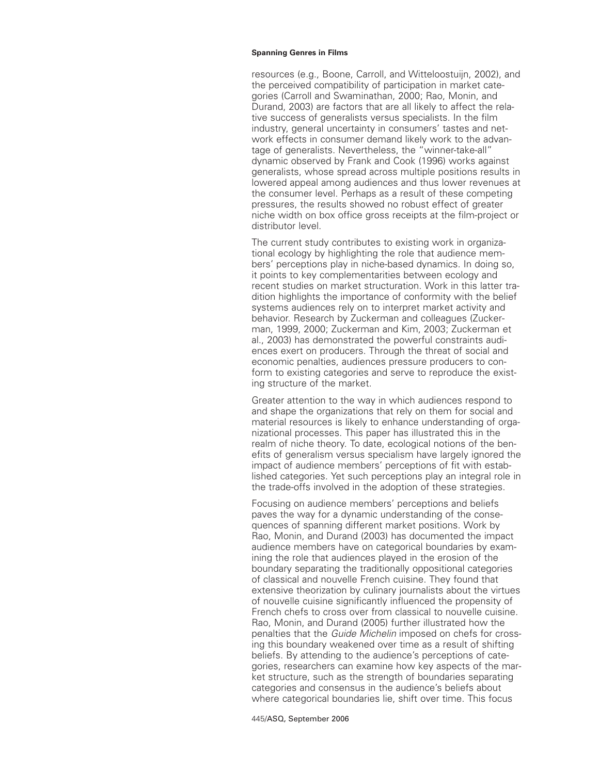resources (e.g., Boone, Carroll, and Witteloostuijn, 2002), and the perceived compatibility of participation in market categories (Carroll and Swaminathan, 2000; Rao, Monin, and Durand, 2003) are factors that are all likely to affect the relative success of generalists versus specialists. In the film industry, general uncertainty in consumers' tastes and network effects in consumer demand likely work to the advantage of generalists. Nevertheless, the "winner-take-all" dynamic observed by Frank and Cook (1996) works against generalists, whose spread across multiple positions results in lowered appeal among audiences and thus lower revenues at the consumer level. Perhaps as a result of these competing pressures, the results showed no robust effect of greater niche width on box office gross receipts at the film-project or distributor level.

The current study contributes to existing work in organizational ecology by highlighting the role that audience members' perceptions play in niche-based dynamics. In doing so, it points to key complementarities between ecology and recent studies on market structuration. Work in this latter tradition highlights the importance of conformity with the belief systems audiences rely on to interpret market activity and behavior. Research by Zuckerman and colleagues (Zuckerman, 1999, 2000; Zuckerman and Kim, 2003; Zuckerman et al., 2003) has demonstrated the powerful constraints audiences exert on producers. Through the threat of social and economic penalties, audiences pressure producers to conform to existing categories and serve to reproduce the existing structure of the market.

Greater attention to the way in which audiences respond to and shape the organizations that rely on them for social and material resources is likely to enhance understanding of organizational processes. This paper has illustrated this in the realm of niche theory. To date, ecological notions of the benefits of generalism versus specialism have largely ignored the impact of audience members' perceptions of fit with established categories. Yet such perceptions play an integral role in the trade-offs involved in the adoption of these strategies.

Focusing on audience members' perceptions and beliefs paves the way for a dynamic understanding of the consequences of spanning different market positions. Work by Rao, Monin, and Durand (2003) has documented the impact audience members have on categorical boundaries by examining the role that audiences played in the erosion of the boundary separating the traditionally oppositional categories of classical and nouvelle French cuisine. They found that extensive theorization by culinary journalists about the virtues of nouvelle cuisine significantly influenced the propensity of French chefs to cross over from classical to nouvelle cuisine. Rao, Monin, and Durand (2005) further illustrated how the penalties that the *Guide Michelin* imposed on chefs for crossing this boundary weakened over time as a result of shifting beliefs. By attending to the audience's perceptions of categories, researchers can examine how key aspects of the market structure, such as the strength of boundaries separating categories and consensus in the audience's beliefs about where categorical boundaries lie, shift over time. This focus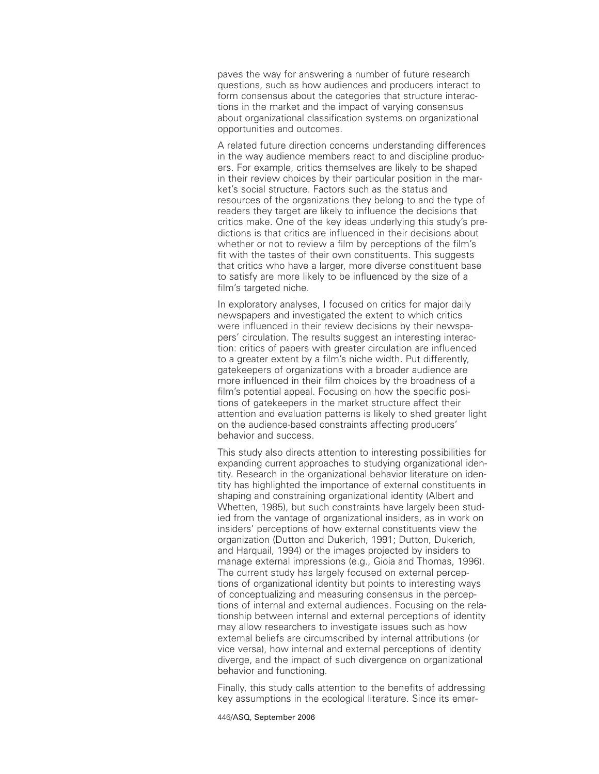paves the way for answering a number of future research questions, such as how audiences and producers interact to form consensus about the categories that structure interactions in the market and the impact of varying consensus about organizational classification systems on organizational opportunities and outcomes.

A related future direction concerns understanding differences in the way audience members react to and discipline producers. For example, critics themselves are likely to be shaped in their review choices by their particular position in the market's social structure. Factors such as the status and resources of the organizations they belong to and the type of readers they target are likely to influence the decisions that critics make. One of the key ideas underlying this study's predictions is that critics are influenced in their decisions about whether or not to review a film by perceptions of the film's fit with the tastes of their own constituents. This suggests that critics who have a larger, more diverse constituent base to satisfy are more likely to be influenced by the size of a film's targeted niche.

In exploratory analyses, I focused on critics for major daily newspapers and investigated the extent to which critics were influenced in their review decisions by their newspapers' circulation. The results suggest an interesting interaction: critics of papers with greater circulation are influenced to a greater extent by a film's niche width. Put differently, gatekeepers of organizations with a broader audience are more influenced in their film choices by the broadness of a film's potential appeal. Focusing on how the specific positions of gatekeepers in the market structure affect their attention and evaluation patterns is likely to shed greater light on the audience-based constraints affecting producers' behavior and success.

This study also directs attention to interesting possibilities for expanding current approaches to studying organizational identity. Research in the organizational behavior literature on identity has highlighted the importance of external constituents in shaping and constraining organizational identity (Albert and Whetten, 1985), but such constraints have largely been studied from the vantage of organizational insiders, as in work on insiders' perceptions of how external constituents view the organization (Dutton and Dukerich, 1991; Dutton, Dukerich, and Harquail, 1994) or the images projected by insiders to manage external impressions (e.g., Gioia and Thomas, 1996). The current study has largely focused on external perceptions of organizational identity but points to interesting ways of conceptualizing and measuring consensus in the perceptions of internal and external audiences. Focusing on the relationship between internal and external perceptions of identity may allow researchers to investigate issues such as how external beliefs are circumscribed by internal attributions (or vice versa), how internal and external perceptions of identity diverge, and the impact of such divergence on organizational behavior and functioning.

Finally, this study calls attention to the benefits of addressing key assumptions in the ecological literature. Since its emer-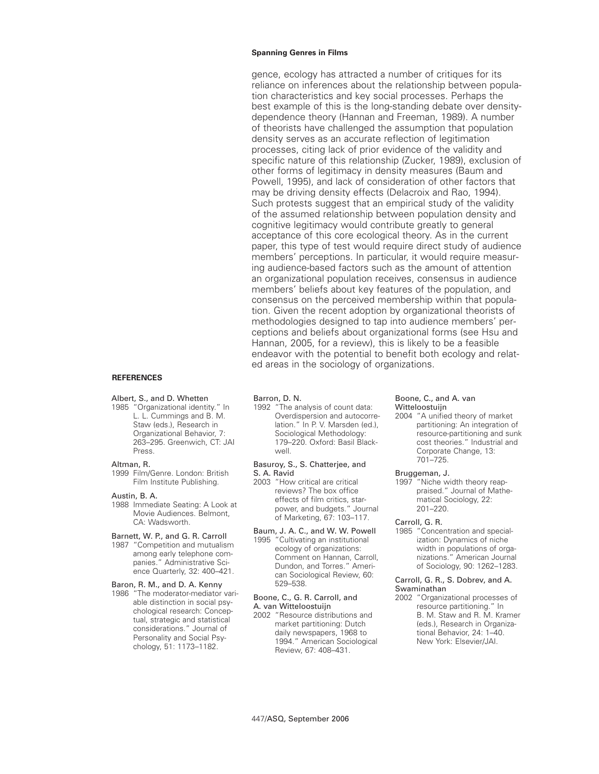gence, ecology has attracted a number of critiques for its reliance on inferences about the relationship between population characteristics and key social processes. Perhaps the best example of this is the long-standing debate over densitydependence theory (Hannan and Freeman, 1989). A number of theorists have challenged the assumption that population density serves as an accurate reflection of legitimation processes, citing lack of prior evidence of the validity and specific nature of this relationship (Zucker, 1989), exclusion of other forms of legitimacy in density measures (Baum and Powell, 1995), and lack of consideration of other factors that may be driving density effects (Delacroix and Rao, 1994). Such protests suggest that an empirical study of the validity of the assumed relationship between population density and cognitive legitimacy would contribute greatly to general acceptance of this core ecological theory. As in the current paper, this type of test would require direct study of audience members' perceptions. In particular, it would require measuring audience-based factors such as the amount of attention an organizational population receives, consensus in audience members' beliefs about key features of the population, and consensus on the perceived membership within that population. Given the recent adoption by organizational theorists of methodologies designed to tap into audience members' perceptions and beliefs about organizational forms (see Hsu and Hannan, 2005, for a review), this is likely to be a feasible endeavor with the potential to benefit both ecology and related areas in the sociology of organizations.

### **REFERENCES**

### Albert, S., and D. Whetten

1985 "Organizational identity." In L. L. Cummings and B. M. Staw (eds.), Research in Organizational Behavior, 7: 263–295. Greenwich, CT: JAI Press.

#### Altman, R.

1999 Film/Genre. London: British Film Institute Publishing.

#### Austin, B. A.

1988 Immediate Seating: A Look at Movie Audiences. Belmont, CA: Wadsworth.

### Barnett, W. P., and G. R. Carroll

1987 "Competition and mutualism among early telephone companies." Administrative Science Quarterly, 32: 400–421.

### Baron, R. M., and D. A. Kenny

1986 "The moderator-mediator variable distinction in social psychological research: Conceptual, strategic and statistical considerations." Journal of Personality and Social Psychology, 51: 1173–1182.

## Barron, D. N.

1992 "The analysis of count data: Overdispersion and autocorrelation." In P. V. Marsden (ed.), Sociological Methodology: 179–220. Oxford: Basil Blackwell.

#### Basuroy, S., S. Chatterjee, and S. A. Ravid

- 2003 "How critical are critical reviews? The box office effects of film critics, starpower, and budgets." Journal of Marketing, 67: 103–117.
- Baum, J. A. C., and W. W. Powell 1995 "Cultivating an institutional ecology of organizations: Comment on Hannan, Carroll, Dundon, and Torres." American Sociological Review, 60: 529–538.

# Boone, C., G. R. Carroll, and

A. van Witteloostuijn 2002 "Resource distributions and market partitioning: Dutch daily newspapers, 1968 to 1994." American Sociological Review, 67: 408–431.

### Boone, C., and A. van Witteloostuijn

2004 "A unified theory of market partitioning: An integration of resource-partitioning and sunk cost theories." Industrial and Corporate Change, 13: 701–725.

### Bruggeman, J.

1997 "Niche width theory reappraised." Journal of Mathematical Sociology, 22: 201–220.

# Carroll, G. R.

1985 "Concentration and specialization: Dynamics of niche width in populations of organizations." American Journal of Sociology, 90: 1262–1283.

### Carroll, G. R., S. Dobrev, and A. Swaminathan

2002 "Organizational processes of resource partitioning." In B. M. Staw and R. M. Kramer (eds.), Research in Organizational Behavior, 24: 1–40. New York: Elsevier/JAI.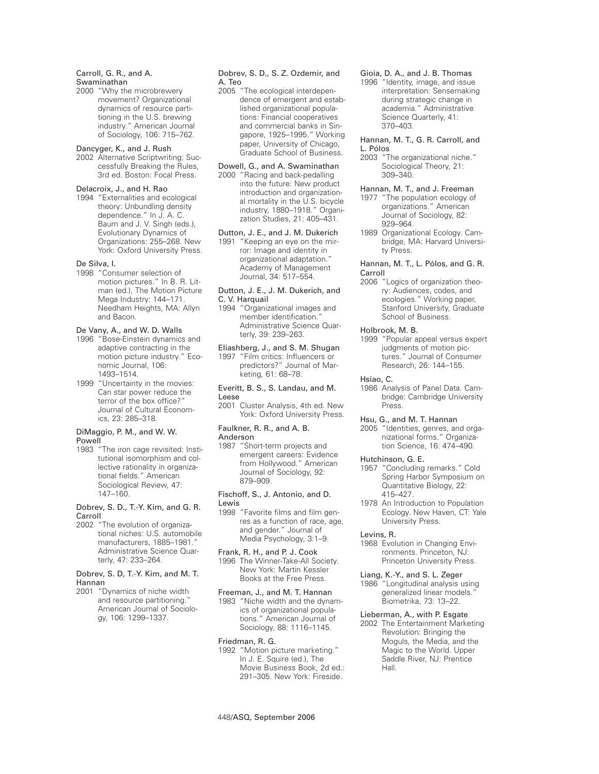### Carroll, G. R., and A. Swaminathan

2000 "Why the microbrewery movement? Organizational dynamics of resource partitioning in the U.S. brewing industry." American Journal of Sociology, 106: 715–762.

### Dancyger, K., and J. Rush

2002 Alternative Scriptwriting: Successfully Breaking the Rules, 3rd ed. Boston: Focal Press.

## Delacroix, J., and H. Rao

1994 "Externalities and ecological theory: Unbundling density dependence." In J. A. C. Baum and J. V. Singh (eds.), Evolutionary Dynamics of Organizations: 255–268. New York: Oxford University Press.

#### De Silva, I.

1998 "Consumer selection of motion pictures." In B. R. Litman (ed.), The Motion Picture Mega Industry: 144–171. Needham Heights, MA: Allyn and Bacon.

### De Vany, A., and W. D. Walls

- 1996 "Bose-Einstein dynamics and adaptive contracting in the motion picture industry." Economic Journal, 106: 1493–1514.
- 1999 "Uncertainty in the movies: Can star power reduce the terror of the box office?" Journal of Cultural Economics, 23: 285–318.

### DiMaggio, P. M., and W. W. Powell

1983 "The iron cage revisited: Institutional isomorphism and collective rationality in organizational fields." American Sociological Review, 47: 147–160.

#### Dobrev, S. D., T.-Y. Kim, and G. R. Carroll

2002 "The evolution of organizational niches: U.S. automobile manufacturers, 1885–1981." Administrative Science Quarterly, 47: 233–264.

### Dobrev, S. D, T.-Y. Kim, and M. T. Hannan

2001 "Dynamics of niche width and resource partitioning." American Journal of Sociology, 106: 1299–1337.

## Dobrev, S. D., S. Z. Ozdemir, and A. Teo

2005 "The ecological interdependence of emergent and established organizational populations: Financial cooperatives and commercial banks in Singapore, 1925–1995." Working paper, University of Chicago, Graduate School of Business.

### Dowell, G., and A. Swaminathan 2000 "Racing and back-pedalling into the future: New product introduction and organizational mortality in the U.S. bicycle industry, 1880–1918." Organi-

zation Studies, 21: 405–431.

Dutton, J. E., and J. M. Dukerich 1991 "Keeping an eye on the mirror: Image and identity in organizational adaptation." Academy of Management Journal, 34: 517–554.

### Dutton, J. E., J. M. Dukerich, and C. V. Harquail

1994 "Organizational images and member identification." Administrative Science Quarterly, 39: 239–263.

## Eliashberg, J., and S. M. Shugan

1997 "Film critics: Influencers or predictors?" Journal of Marketing, 61: 68–78.

### Everitt, B. S., S. Landau, and M. Leese

2001 Cluster Analysis, 4th ed. New York: Oxford University Press.

### Faulkner, R. R., and A. B. Anderson

1987 "Short-term projects and emergent careers: Evidence from Hollywood." American Journal of Sociology, 92: 879–909.

### Fischoff, S., J. Antonio, and D. Lewis

1998 "Favorite films and film genres as a function of race, age, and gender." Journal of Media Psychology, 3:1–9.

# Frank, R. H., and P. J. Cook

1996 The Winner-Take-All Society. New York: Martin Kessler Books at the Free Press.

### Freeman, J., and M. T. Hannan

1983 "Niche width and the dynamics of organizational populations." American Journal of Sociology, 88: 1116–1145.

### Friedman, R. G.

1992 "Motion picture marketing." In J. E. Squire (ed.), The Movie Business Book, 2d ed.: 291–305. New York: Fireside.

## Gioia, D. A., and J. B. Thomas

1996 "Identity, image, and issue interpretation: Sensemaking during strategic change in academia." Administrative Science Quarterly, 41: 370–403.

### Hannan, M. T., G. R. Carroll, and L. Pólos

- 2003 "The organizational niche." Sociological Theory, 21: 309–340.
- Hannan, M. T., and J. Freeman 1977 "The population ecology of organizations." American Journal of Sociology, 82: 929–964.
- 1989 Organizational Ecology. Cambridge, MA: Harvard University Press.

### Hannan, M. T., L. Pólos, and G. R. Carroll

2006 "Logics of organization theory: Audiences, codes, and ecologies." Working paper, Stanford University, Graduate School of Business.

### Holbrook, M. B.

1999 "Popular appeal versus expert judgments of motion pictures." Journal of Consumer Research, 26: 144–155.

#### Hsiao, C.

1986 Analysis of Panel Data. Cambridge: Cambridge University Press.

### Hsu, G., and M. T. Hannan

2005 "Identities, genres, and organizational forms." Organization Science, 16: 474–490.

### Hutchinson, G. E.

- 1957 "Concluding remarks." Cold Spring Harbor Symposium on Quantitative Biology, 22: 415–427.
- 1978 An Introduction to Population Ecology. New Haven, CT: Yale University Press.

#### Levins, R.

1968 Evolution in Changing Environments. Princeton, NJ: Princeton University Press.

### Liang, K.-Y., and S. L. Zeger

1986 "Longitudinal analysis using generalized linear models." Biometrika, 73: 13–22.

### Lieberman, A., with P. Esgate

2002 The Entertainment Marketing Revolution: Bringing the Moguls, the Media, and the Magic to the World. Upper Saddle River, NJ: Prentice Hall.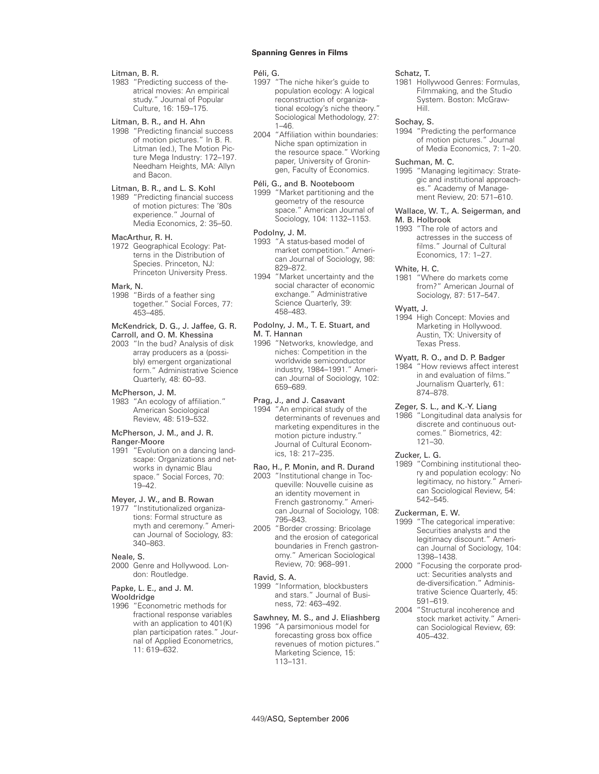### Litman, B. R.

1983 "Predicting success of theatrical movies: An empirical study." Journal of Popular Culture, 16: 159–175.

### Litman, B. R., and H. Ahn

1998 "Predicting financial success of motion pictures." In B. R. Litman (ed.), The Motion Picture Mega Industry: 172–197. Needham Heights, MA: Allyn and Bacon.

# Litman, B. R., and L. S. Kohl

1989 "Predicting financial success of motion pictures: The '80s experience." Journal of Media Economics, 2: 35–50.

#### MacArthur, R. H.

1972 Geographical Ecology: Patterns in the Distribution of Species. Princeton, NJ: Princeton University Press.

#### Mark, N.

1998 "Birds of a feather sing together." Social Forces, 77: 453–485.

# McKendrick, D. G., J. Jaffee, G. R.

Carroll, and O. M. Khessina 2003 "In the bud? Analysis of disk array producers as a (possibly) emergent organizational form." Administrative Science

### McPherson, J. M.

1983 "An ecology of affiliation." American Sociological Review, 48: 519–532.

Quarterly, 48: 60–93.

## McPherson, J. M., and J. R.

- Ranger-Moore
- 1991 "Evolution on a dancing landscape: Organizations and networks in dynamic Blau space." Social Forces, 70: 19–42.

### Meyer, J. W., and B. Rowan

1977 "Institutionalized organizations: Formal structure as myth and ceremony." American Journal of Sociology, 83: 340–863.

## Neale, S.

2000 Genre and Hollywood. London: Routledge.

### Papke, L. E., and J. M.

Wooldridge

1996 "Econometric methods for fractional response variables with an application to 401(K) plan participation rates." Journal of Applied Econometrics, 11: 619–632.

#### Péli, G.

- 1997 "The niche hiker's guide to population ecology: A logical reconstruction of organizational ecology's niche theory." Sociological Methodology, 27: 1–46.
- 2004 "Affiliation within boundaries: Niche span optimization in the resource space." Working paper, University of Groningen, Faculty of Economics.

## Péli, G., and B. Nooteboom

1999 "Market partitioning and the geometry of the resource space." American Journal of Sociology, 104: 1132–1153.

### Podolny, J. M.

- 1993 "A status-based model of market competition." American Journal of Sociology, 98: 829–872.
- 1994 "Market uncertainty and the social character of economic exchange." Administrative Science Quarterly, 39: 458–483.

### Podolny, J. M., T. E. Stuart, and M. T. Hannan

1996 "Networks, knowledge, and niches: Competition in the worldwide semiconductor industry, 1984–1991." American Journal of Sociology, 102: 659–689.

# Prag, J., and J. Casavant

1994 "An empirical study of the determinants of revenues and marketing expenditures in the motion picture industry." Journal of Cultural Economics, 18: 217–235.

### Rao, H., P. Monin, and R. Durand

- 2003 "Institutional change in Tocqueville: Nouvelle cuisine as an identity movement in French gastronomy." American Journal of Sociology, 108: 795–843.
- 2005 "Border crossing: Bricolage and the erosion of categorical boundaries in French gastronomy." American Sociological Review, 70: 968–991.

#### Ravid, S. A.

1999 "Information, blockbusters and stars." Journal of Business, 72: 463–492.

#### Sawhney, M. S., and J. Eliashberg 1996 "A parsimonious model for forecasting gross box office revenues of motion pictures." Marketing Science, 15: 113–131.

#### Schatz, T.

1981 Hollywood Genres: Formulas, Filmmaking, and the Studio System. Boston: McGraw-Hill.

## Sochay, S.

1994 "Predicting the performance of motion pictures." Journal of Media Economics, 7: 1–20.

### Suchman, M. C.

1995 "Managing legitimacy: Strategic and institutional approaches." Academy of Management Review, 20: 571–610.

#### Wallace, W. T., A. Seigerman, and M. B. Holbrook

1993 "The role of actors and actresses in the success of films." Journal of Cultural Economics, 17: 1–27.

### White, H. C.

1981 "Where do markets come from?" American Journal of Sociology, 87: 517–547.

#### Wyatt, J.

1994 High Concept: Movies and Marketing in Hollywood. Austin, TX: University of Texas Press.

### Wyatt, R. O., and D. P. Badger

1984 "How reviews affect interest in and evaluation of films." Journalism Quarterly, 61: 874–878.

#### Zeger, S. L., and K.-Y. Liang

1986 "Longitudinal data analysis for discrete and continuous outcomes." Biometrics, 42: 121–30.

#### Zucker, L. G.

1989 "Combining institutional theory and population ecology: No legitimacy, no history." American Sociological Review, 54: 542–545.

### Zuckerman, E. W.

- 1999 "The categorical imperative: Securities analysts and the legitimacy discount." American Journal of Sociology, 104: 1398–1438.
- 2000 "Focusing the corporate product: Securities analysts and de-diversification." Administrative Science Quarterly, 45: 591–619.
- 2004 "Structural incoherence and stock market activity." American Sociological Review, 69: 405–432.